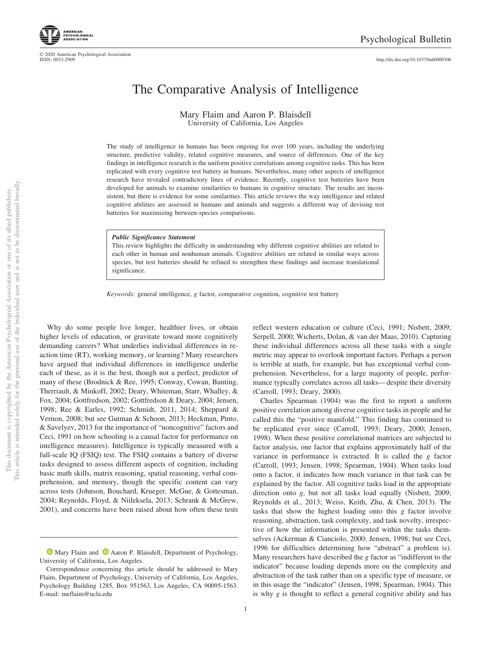This document is copyrighted by the American Psychological Association or one of its allied publishers.

This document is copyrighted by the American Psychological Association

one of its allied publishers.

 $\rm \tilde{o}$ 

http://dx.doi.org/10.1037/bul0000306

# The Comparative Analysis of Intelligence

#### Mary Flaim and Aaron P. Blaisdell University of California, Los Angeles

The study of intelligence in humans has been ongoing for over 100 years, including the underlying structure, predictive validity, related cognitive measures, and source of differences. One of the key findings in intelligence research is the uniform positive correlations among cognitive tasks. This has been replicated with every cognitive test battery in humans. Nevertheless, many other aspects of intelligence research have revealed contradictory lines of evidence. Recently, cognitive test batteries have been developed for animals to examine similarities to humans in cognitive structure. The results are inconsistent, but there is evidence for some similarities. This article reviews the way intelligence and related cognitive abilities are assessed in humans and animals and suggests a different way of devising test batteries for maximizing between-species comparisons.

#### *Public Significance Statement*

This review highlights the difficulty in understanding why different cognitive abilities are related to each other in human and nonhuman animals. Cognitive abilities are related in similar ways across species, but test batteries should be refined to strengthen these findings and increase translational significance.

*Keywords:* general intelligence, *g* factor, comparative cognition, cognitive test battery

Why do some people live longer, healthier lives, or obtain higher levels of education, or gravitate toward more cognitively demanding careers? What underlies individual differences in reaction time (RT), working memory, or learning? Many researchers have argued that individual differences in intelligence underlie each of these, as it is the best, though not a perfect, predictor of many of these (Brodnick & Ree, 1995; Conway, Cowan, Bunting, Therriault, & Minkoff, 2002; Deary, Whiteman, Starr, Whalley, & Fox, 2004; Gottfredson, 2002; Gottfredson & Deary, 2004; Jensen, 1998; Ree & Earles, 1992; Schmidt, 2011, 2014; Sheppard & Vernon, 2008; but see Gutman & Schoon, 2013; Heckman, Pinto, & Savelyev, 2013 for the importance of "noncognitive" factors and Ceci, 1991 on how schooling is a causal factor for performance on intelligence measures). Intelligence is typically measured with a full-scale IQ (FSIQ) test. The FSIQ contains a battery of diverse tasks designed to assess different aspects of cognition, including basic math skills, matrix reasoning, spatial reasoning, verbal comprehension, and memory, though the specific content can vary across tests (Johnson, Bouchard, Krueger, McGue, & Gottesman, 2004; Reynolds, Floyd, & Niileksela, 2013; Schrank & McGrew, 2001), and concerns have been raised about how often these tests reflect western education or culture (Ceci, 1991; Nisbett, 2009; Serpell, 2000; Wicherts, Dolan, & van der Maas, 2010). Capturing these individual differences across all these tasks with a single metric may appear to overlook important factors. Perhaps a person is terrible at math, for example, but has exceptional verbal comprehension. Nevertheless, for a large majority of people, performance typically correlates across all tasks— despite their diversity (Carroll, 1993; Deary, 2000).

Charles Spearman (1904) was the first to report a uniform positive correlation among diverse cognitive tasks in people and he called this the "positive manifold." This finding has continued to be replicated ever since (Carroll, 1993; Deary, 2000; Jensen, 1998). When these positive correlational matrices are subjected to factor analysis, one factor that explains approximately half of the variance in performance is extracted. It is called the *g* factor (Carroll, 1993; Jensen, 1998; Spearman, 1904). When tasks load onto a factor, it indicates how much variance in that task can be explained by the factor. All cognitive tasks load in the appropriate direction onto *g*, but not all tasks load equally (Nisbett, 2009; Reynolds et al., 2013; Weiss, Keith, Zhu, & Chen, 2013). The tasks that show the highest loading onto this *g* factor involve reasoning, abstraction, task complexity, and task novelty, irrespective of how the information is presented within the tasks themselves (Ackerman & Cianciolo, 2000; Jensen, 1998; but see Ceci, 1996 for difficulties determining how "abstract" a problem is). Many researchers have described the *g* factor as "indifferent to the indicator" because loading depends more on the complexity and abstraction of the task rather than on a specific type of measure, or in this usage the "indicator" (Jensen, 1998; Spearman, 1904). This is why *g* is thought to reflect a general cognitive ability and has

© 2020 American Psychological Association ISSN: 0033-2909

**D** Mary Flaim and **D** Aaron P. Blaisdell, Department of Psychology, University of California, Los Angeles.

Correspondence concerning this article should be addressed to Mary Flaim, Department of Psychology, University of California, Los Angeles, Psychology Building 1285, Box 951563, Los Angeles, CA 90095-1563. E-mail: meflaim@ucla.edu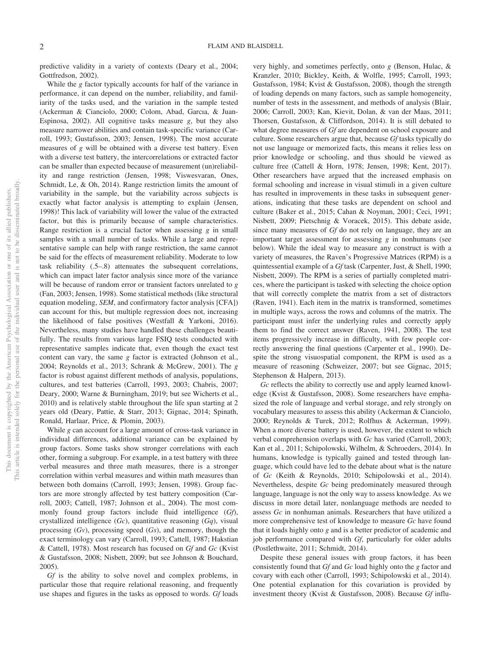predictive validity in a variety of contexts (Deary et al., 2004; Gottfredson, 2002).

While the *g* factor typically accounts for half of the variance in performance, it can depend on the number, reliability, and familiarity of the tasks used, and the variation in the sample tested (Ackerman & Cianciolo, 2000; Colom, Abad, Garcıa, & Juan-Espinosa, 2002). All cognitive tasks measure *g*, but they also measure narrower abilities and contain task-specific variance (Carroll, 1993; Gustafsson, 2003; Jensen, 1998). The most accurate measures of *g* will be obtained with a diverse test battery. Even with a diverse test battery, the intercorrelations or extracted factor can be smaller than expected because of measurement (un)reliability and range restriction (Jensen, 1998; Viswesvaran, Ones, Schmidt, Le, & Oh, 2014). Range restriction limits the amount of variability in the sample, but the variability across subjects is exactly what factor analysis is attempting to explain (Jensen, 1998)! This lack of variability will lower the value of the extracted factor, but this is primarily because of sample characteristics. Range restriction is a crucial factor when assessing *g* in small samples with a small number of tasks. While a large and representative sample can help with range restriction, the same cannot be said for the effects of measurement reliability. Moderate to low task reliability (.5–.8) attenuates the subsequent correlations, which can impact later factor analysis since more of the variance will be because of random error or transient factors unrelated to *g* (Fan, 2003; Jensen, 1998). Some statistical methods (like structural equation modeling, *SEM*, and confirmatory factor analysis [CFA]) can account for this, but multiple regression does not, increasing the likelihood of false positives (Westfall & Yarkoni, 2016). Nevertheless, many studies have handled these challenges beautifully. The results from various large FSIQ tests conducted with representative samples indicate that, even though the exact test content can vary, the same *g* factor is extracted (Johnson et al., 2004; Reynolds et al., 2013; Schrank & McGrew, 2001). The *g* factor is robust against different methods of analysis, populations, cultures, and test batteries (Carroll, 1993, 2003; Chabris, 2007; Deary, 2000; Warne & Burningham, 2019; but see Wicherts et al., 2010) and is relatively stable throughout the life span starting at 2 years old (Deary, Pattie, & Starr, 2013; Gignac, 2014; Spinath, Ronald, Harlaar, Price, & Plomin, 2003).

While *g* can account for a large amount of cross-task variance in individual differences, additional variance can be explained by group factors. Some tasks show stronger correlations with each other, forming a subgroup. For example, in a test battery with three verbal measures and three math measures, there is a stronger correlation within verbal measures and within math measures than between both domains (Carroll, 1993; Jensen, 1998). Group factors are more strongly affected by test battery composition (Carroll, 2003; Cattell, 1987; Johnson et al., 2004). The most commonly found group factors include fluid intelligence (*Gf*), crystallized intelligence (*Gc*), quantitative reasoning (*Gq*), visual processing (*Gv*), processing speed (*Gs*), and memory, though the exact terminology can vary (Carroll, 1993; Cattell, 1987; Hakstian & Cattell, 1978). Most research has focused on *Gf* and *Gc* (Kvist & Gustafsson, 2008; Nisbett, 2009; but see Johnson & Bouchard, 2005).

*Gf* is the ability to solve novel and complex problems, in particular those that require relational reasoning, and frequently use shapes and figures in the tasks as opposed to words. *Gf* loads

very highly, and sometimes perfectly, onto *g* (Benson, Hulac, & Kranzler, 2010; Bickley, Keith, & Wolfle, 1995; Carroll, 1993; Gustafsson, 1984; Kvist & Gustafsson, 2008), though the strength of loading depends on many factors, such as sample homogeneity, number of tests in the assessment, and methods of analysis (Blair, 2006; Carroll, 2003; Kan, Kievit, Dolan, & van der Maas, 2011; Thorsen, Gustafsson, & Cliffordson, 2014). It is still debated to what degree measures of *Gf* are dependent on school exposure and culture. Some researchers argue that, because *Gf* tasks typically do not use language or memorized facts, this means it relies less on prior knowledge or schooling, and thus should be viewed as culture free (Cattell & Horn, 1978; Jensen, 1998; Kent, 2017). Other researchers have argued that the increased emphasis on formal schooling and increase in visual stimuli in a given culture has resulted in improvements in these tasks in subsequent generations, indicating that these tasks are dependent on school and culture (Baker et al., 2015; Cahan & Noyman, 2001; Ceci, 1991; Nisbett, 2009; Pietschnig & Voracek, 2015). This debate aside, since many measures of *Gf* do not rely on language, they are an important target assessment for assessing *g* in nonhumans (see below). While the ideal way to measure any construct is with a variety of measures, the Raven's Progressive Matrices (RPM) is a quintessential example of a *Gf* task (Carpenter, Just, & Shell, 1990; Nisbett, 2009). The RPM is a series of partially completed matrices, where the participant is tasked with selecting the choice option that will correctly complete the matrix from a set of distractors (Raven, 1941). Each item in the matrix is transformed, sometimes in multiple ways, across the rows and columns of the matrix. The participant must infer the underlying rules and correctly apply them to find the correct answer (Raven, 1941, 2008). The test items progressively increase in difficulty, with few people correctly answering the final questions (Carpenter et al., 1990). Despite the strong visuospatial component, the RPM is used as a measure of reasoning (Schweizer, 2007; but see Gignac, 2015; Stephenson & Halpern, 2013).

*Gc* reflects the ability to correctly use and apply learned knowledge (Kvist & Gustafsson, 2008). Some researchers have emphasized the role of language and verbal storage, and rely strongly on vocabulary measures to assess this ability (Ackerman & Cianciolo, 2000; Reynolds & Turek, 2012; Rolfhus & Ackerman, 1999). When a more diverse battery is used, however, the extent to which verbal comprehension overlaps with *Gc* has varied (Carroll, 2003; Kan et al., 2011; Schipolowski, Wilhelm, & Schroeders, 2014). In humans, knowledge is typically gained and tested through language, which could have led to the debate about what is the nature of *Gc* (Keith & Reynolds, 2010; Schipolowski et al., 2014). Nevertheless, despite *Gc* being predominately measured through language, language is not the only way to assess knowledge. As we discuss in more detail later, nonlanguage methods are needed to assess *Gc* in nonhuman animals. Researchers that have utilized a more comprehensive test of knowledge to measure *Gc* have found that it loads highly onto *g* and is a better predictor of academic and job performance compared with *Gf*, particularly for older adults (Postlethwaite, 2011; Schmidt, 2014).

Despite these general issues with group factors, it has been consistently found that *Gf* and *Gc* load highly onto the *g* factor and covary with each other (Carroll, 1993; Schipolowski et al., 2014). One potential explanation for this covariation is provided by investment theory (Kvist & Gustafsson, 2008). Because *Gf* influ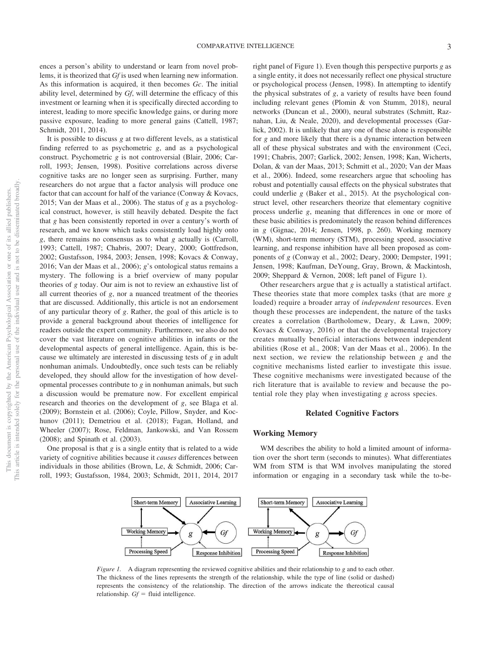ences a person's ability to understand or learn from novel problems, it is theorized that *Gf* is used when learning new information. As this information is acquired, it then becomes *Gc*. The initial ability level, determined by *Gf*, will determine the efficacy of this investment or learning when it is specifically directed according to interest, leading to more specific knowledge gains, or during more passive exposure, leading to more general gains (Cattell, 1987; Schmidt, 2011, 2014).

It is possible to discuss *g* at two different levels, as a statistical finding referred to as psychometric *g*, and as a psychological construct. Psychometric *g* is not controversial (Blair, 2006; Carroll, 1993; Jensen, 1998). Positive correlations across diverse cognitive tasks are no longer seen as surprising. Further, many researchers do not argue that a factor analysis will produce one factor that can account for half of the variance (Conway & Kovacs, 2015; Van der Maas et al., 2006). The status of *g* as a psychological construct, however, is still heavily debated. Despite the fact that *g* has been consistently reported in over a century's worth of research, and we know which tasks consistently load highly onto *g*, there remains no consensus as to what *g* actually is (Carroll, 1993; Cattell, 1987; Chabris, 2007; Deary, 2000; Gottfredson, 2002; Gustafsson, 1984, 2003; Jensen, 1998; Kovacs & Conway, 2016; Van der Maas et al., 2006); *g*'s ontological status remains a mystery. The following is a brief overview of many popular theories of *g* today. Our aim is not to review an exhaustive list of all current theories of *g*, nor a nuanced treatment of the theories that are discussed. Additionally, this article is not an endorsement of any particular theory of *g*. Rather, the goal of this article is to provide a general background about theories of intelligence for readers outside the expert community. Furthermore, we also do not cover the vast literature on cognitive abilities in infants or the developmental aspects of general intelligence. Again, this is because we ultimately are interested in discussing tests of *g* in adult nonhuman animals. Undoubtedly, once such tests can be reliably developed, they should allow for the investigation of how developmental processes contribute to *g* in nonhuman animals, but such a discussion would be premature now. For excellent empirical research and theories on the development of *g*, see Blaga et al. (2009); Bornstein et al. (2006); Coyle, Pillow, Snyder, and Kochunov (2011); Demetriou et al. (2018); Fagan, Holland, and Wheeler (2007); Rose, Feldman, Jankowski, and Van Rossem (2008); and Spinath et al. (2003).

One proposal is that *g* is a single entity that is related to a wide variety of cognitive abilities because it *causes* differences between individuals in those abilities (Brown, Le, & Schmidt, 2006; Carroll, 1993; Gustafsson, 1984, 2003; Schmidt, 2011, 2014, 2017 right panel of Figure 1). Even though this perspective purports *g* as a single entity, it does not necessarily reflect one physical structure or psychological process (Jensen, 1998). In attempting to identify the physical substrates of *g*, a variety of results have been found including relevant genes (Plomin & von Stumm, 2018), neural networks (Duncan et al., 2000), neural substrates (Schmitt, Raznahan, Liu, & Neale, 2020), and developmental processes (Garlick, 2002). It is unlikely that any one of these alone is responsible for *g* and more likely that there is a dynamic interaction between all of these physical substrates and with the environment (Ceci, 1991; Chabris, 2007; Garlick, 2002; Jensen, 1998; Kan, Wicherts, Dolan, & van der Maas, 2013; Schmitt et al., 2020; Van der Maas et al., 2006). Indeed, some researchers argue that schooling has robust and potentially causal effects on the physical substrates that could underlie *g* (Baker et al., 2015). At the psychological construct level, other researchers theorize that elementary cognitive process underlie *g*, meaning that differences in one or more of these basic abilities is predominately the reason behind differences in *g* (Gignac, 2014; Jensen, 1998, p. 260). Working memory (WM), short-term memory (STM), processing speed, associative learning, and response inhibition have all been proposed as components of *g* (Conway et al., 2002; Deary, 2000; Dempster, 1991; Jensen, 1998; Kaufman, DeYoung, Gray, Brown, & Mackintosh, 2009; Sheppard & Vernon, 2008; left panel of Figure 1).

Other researchers argue that *g* is actually a statistical artifact. These theories state that more complex tasks (that are more *g* loaded) require a broader array of *independent* resources. Even though these processes are independent, the nature of the tasks creates a correlation (Bartholomew, Deary, & Lawn, 2009; Kovacs & Conway, 2016) or that the developmental trajectory creates mutually beneficial interactions between independent abilities (Rose et al., 2008; Van der Maas et al., 2006). In the next section, we review the relationship between *g* and the cognitive mechanisms listed earlier to investigate this issue. These cognitive mechanisms were investigated because of the rich literature that is available to review and because the potential role they play when investigating *g* across species.

# **Related Cognitive Factors**

#### **Working Memory**

WM describes the ability to hold a limited amount of information over the short term (seconds to minutes). What differentiates WM from STM is that WM involves manipulating the stored information or engaging in a secondary task while the to-be-



*Figure 1.* A diagram representing the reviewed cognitive abilities and their relationship to *g* and to each other. The thickness of the lines represents the strength of the relationship, while the type of line (solid or dashed) represents the consistency of the relationship. The direction of the arrows indicate the thereotical causal relationship.  $Gf =$  fluid intelligence.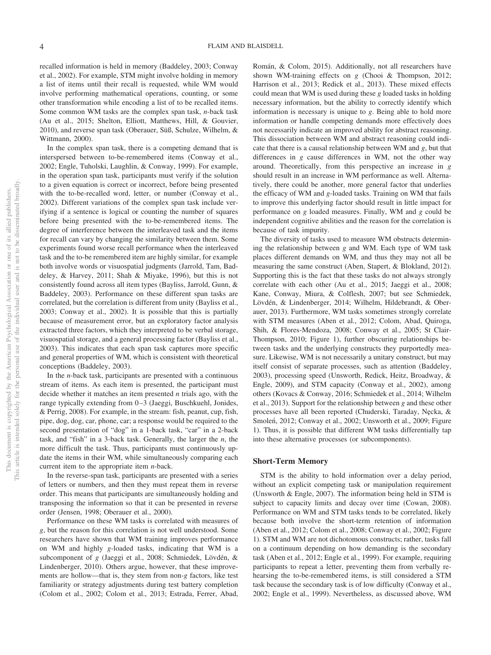recalled information is held in memory (Baddeley, 2003; Conway et al., 2002). For example, STM might involve holding in memory a list of items until their recall is requested, while WM would involve performing mathematical operations, counting, or some other transformation while encoding a list of to be recalled items. Some common WM tasks are the complex span task, *n*-back task (Au et al., 2015; Shelton, Elliott, Matthews, Hill, & Gouvier, 2010), and reverse span task (Oberauer, Süß, Schulze, Wilhelm, & Wittmann, 2000).

In the complex span task, there is a competing demand that is interspersed between to-be-remembered items (Conway et al., 2002; Engle, Tuholski, Laughlin, & Conway, 1999). For example, in the operation span task, participants must verify if the solution to a given equation is correct or incorrect, before being presented with the to-be-recalled word, letter, or number (Conway et al., 2002). Different variations of the complex span task include verifying if a sentence is logical or counting the number of squares before being presented with the to-be-remembered items. The degree of interference between the interleaved task and the items for recall can vary by changing the similarity between them. Some experiments found worse recall performance when the interleaved task and the to-be remembered item are highly similar, for example both involve words or visuospatial judgments (Jarrold, Tam, Baddeley, & Harvey, 2011; Shah & Miyake, 1996), but this is not consistently found across all item types (Bayliss, Jarrold, Gunn, & Baddeley, 2003). Performance on these different span tasks are correlated, but the correlation is different from unity (Bayliss et al., 2003; Conway et al., 2002). It is possible that this is partially because of measurement error, but an exploratory factor analysis extracted three factors, which they interpreted to be verbal storage, visuospatial storage, and a general processing factor (Bayliss et al., 2003). This indicates that each span task captures more specific and general properties of WM, which is consistent with theoretical conceptions (Baddeley, 2003).

In the *n*-back task, participants are presented with a continuous stream of items. As each item is presented, the participant must decide whether it matches an item presented *n* trials ago, with the range typically extending from 0-3 (Jaeggi, Buschkuehl, Jonides, & Perrig, 2008). For example, in the stream: fish, peanut, cup, fish, pipe, dog, dog, car, phone, car; a response would be required to the second presentation of "dog" in a 1-back task, "car" in a 2-back task, and "fish" in a 3-back task. Generally, the larger the *n*, the more difficult the task. Thus, participants must continuously update the items in their WM, while simultaneously comparing each current item to the appropriate item *n*-back.

In the reverse-span task, participants are presented with a series of letters or numbers, and then they must repeat them in reverse order. This means that participants are simultaneously holding and transposing the information so that it can be presented in reverse order (Jensen, 1998; Oberauer et al., 2000).

Performance on these WM tasks is correlated with measures of *g*, but the reason for this correlation is not well understood. Some researchers have shown that WM training improves performance on WM and highly *g*-loaded tasks, indicating that WM is a subcomponent of *g* (Jaeggi et al., 2008; Schmiedek, Lövdén, & Lindenberger, 2010). Others argue, however, that these improvements are hollow—that is, they stem from non-*g* factors, like test familiarity or strategy adjustments during test battery completion (Colom et al., 2002; Colom et al., 2013; Estrada, Ferrer, Abad, Román, & Colom, 2015). Additionally, not all researchers have shown WM-training effects on *g* (Chooi & Thompson, 2012; Harrison et al., 2013; Redick et al., 2013). These mixed effects could mean that WM is used during these *g* loaded tasks in holding necessary information, but the ability to correctly identify which information is necessary is unique to *g*. Being able to hold more information or handle competing demands more effectively does not necessarily indicate an improved ability for abstract reasoning. This dissociation between WM and abstract reasoning could indicate that there is a causal relationship between WM and *g*, but that differences in *g* cause differences in WM, not the other way around. Theoretically, from this perspective an increase in *g* should result in an increase in WM performance as well. Alternatively, there could be another, more general factor that underlies the efficacy of WM and *g*-loaded tasks. Training on WM that fails to improve this underlying factor should result in little impact for performance on *g* loaded measures. Finally, WM and *g* could be independent cognitive abilities and the reason for the correlation is because of task impurity.

The diversity of tasks used to measure WM obstructs determining the relationship between *g* and WM. Each type of WM task places different demands on WM, and thus they may not all be measuring the same construct (Aben, Stapert, & Blokland, 2012). Supporting this is the fact that these tasks do not always strongly correlate with each other (Au et al., 2015; Jaeggi et al., 2008; Kane, Conway, Miura, & Colflesh, 2007; but see Schmiedek, Lövdén, & Lindenberger, 2014; Wilhelm, Hildebrandt, & Oberauer, 2013). Furthermore, WM tasks sometimes strongly correlate with STM measures (Aben et al., 2012; Colom, Abad, Quiroga, Shih, & Flores-Mendoza, 2008; Conway et al., 2005; St Clair-Thompson, 2010; Figure 1), further obscuring relationships between tasks and the underlying constructs they purportedly measure. Likewise, WM is not necessarily a unitary construct, but may itself consist of separate processes, such as attention (Baddeley, 2003), processing speed (Unsworth, Redick, Heitz, Broadway, & Engle, 2009), and STM capacity (Conway et al., 2002), among others (Kovacs & Conway, 2016; Schmiedek et al., 2014; Wilhelm et al., 2013). Support for the relationship between *g* and these other processes have all been reported (Chuderski, Taraday, Nęcka, & Smoleń, 2012; Conway et al., 2002; Unsworth et al., 2009; Figure 1). Thus, it is possible that different WM tasks differentially tap into these alternative processes (or subcomponents).

#### **Short-Term Memory**

STM is the ability to hold information over a delay period, without an explicit competing task or manipulation requirement (Unsworth & Engle, 2007). The information being held in STM is subject to capacity limits and decay over time (Cowan, 2008). Performance on WM and STM tasks tends to be correlated, likely because both involve the short-term retention of information (Aben et al., 2012; Colom et al., 2008; Conway et al., 2002; Figure 1). STM and WM are not dichotomous constructs; rather, tasks fall on a continuum depending on how demanding is the secondary task (Aben et al., 2012; Engle et al., 1999). For example, requiring participants to repeat a letter, preventing them from verbally rehearsing the to-be-remembered items, is still considered a STM task because the secondary task is of low difficulty (Conway et al., 2002; Engle et al., 1999). Nevertheless, as discussed above, WM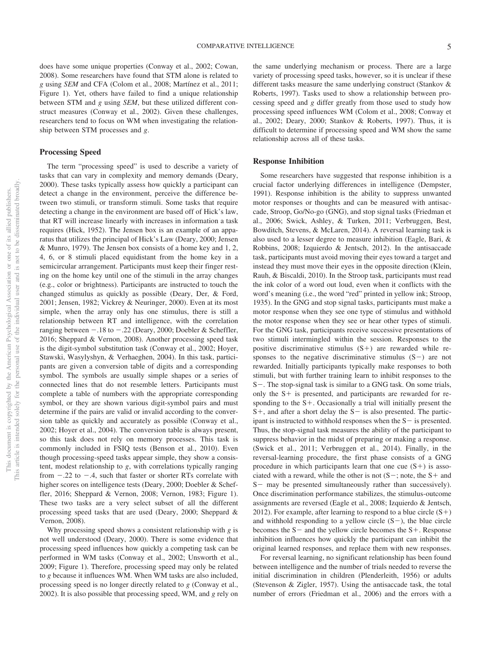does have some unique properties (Conway et al., 2002; Cowan, 2008). Some researchers have found that STM alone is related to *g* using *SEM* and CFA (Colom et al., 2008; Martínez et al., 2011; Figure 1). Yet, others have failed to find a unique relationship between STM and *g* using *SEM*, but these utilized different construct measures (Conway et al., 2002). Given these challenges, researchers tend to focus on WM when investigating the relationship between STM processes and *g*.

# **Processing Speed**

The term "processing speed" is used to describe a variety of tasks that can vary in complexity and memory demands (Deary, 2000). These tasks typically assess how quickly a participant can detect a change in the environment, perceive the difference between two stimuli, or transform stimuli. Some tasks that require detecting a change in the environment are based off of Hick's law, that RT will increase linearly with increases in information a task requires (Hick, 1952). The Jensen box is an example of an apparatus that utilizes the principal of Hick's Law (Deary, 2000; Jensen & Munro, 1979). The Jensen box consists of a home key and 1, 2, 4, 6, or 8 stimuli placed equidistant from the home key in a semicircular arrangement. Participants must keep their finger resting on the home key until one of the stimuli in the array changes (e.g., color or brightness). Participants are instructed to touch the changed stimulus as quickly as possible (Deary, Der, & Ford, 2001; Jensen, 1982; Vickrey & Neuringer, 2000). Even at its most simple, when the array only has one stimulus, there is still a relationship between RT and intelligence, with the correlation ranging between  $-.18$  to  $-.22$  (Deary, 2000; Doebler & Scheffler, 2016; Sheppard & Vernon, 2008). Another processing speed task is the digit-symbol substitution task (Conway et al., 2002; Hoyer, Stawski, Wasylyshyn, & Verhaeghen, 2004). In this task, participants are given a conversion table of digits and a corresponding symbol. The symbols are usually simple shapes or a series of connected lines that do not resemble letters. Participants must complete a table of numbers with the appropriate corresponding symbol, or they are shown various digit-symbol pairs and must determine if the pairs are valid or invalid according to the conversion table as quickly and accurately as possible (Conway et al., 2002; Hoyer et al., 2004). The conversion table is always present, so this task does not rely on memory processes. This task is commonly included in FSIQ tests (Benson et al., 2010). Even though processing-speed tasks appear simple, they show a consistent, modest relationship to *g*, with correlations typically ranging from  $-.22$  to  $-.4$ , such that faster or shorter RTs correlate with higher scores on intelligence tests (Deary, 2000; Doebler & Scheffler, 2016; Sheppard & Vernon, 2008; Vernon, 1983; Figure 1). These two tasks are a very select subset of all the different processing speed tasks that are used (Deary, 2000; Sheppard & Vernon, 2008).

Why processing speed shows a consistent relationship with *g* is not well understood (Deary, 2000). There is some evidence that processing speed influences how quickly a competing task can be performed in WM tasks (Conway et al., 2002; Unsworth et al., 2009; Figure 1). Therefore, processing speed may only be related to *g* because it influences WM. When WM tasks are also included, processing speed is no longer directly related to *g* (Conway et al., 2002). It is also possible that processing speed, WM, and *g* rely on

the same underlying mechanism or process. There are a large variety of processing speed tasks, however, so it is unclear if these different tasks measure the same underlying construct (Stankov & Roberts, 1997). Tasks used to show a relationship between processing speed and *g* differ greatly from those used to study how processing speed influences WM (Colom et al., 2008; Conway et al., 2002; Deary, 2000; Stankov & Roberts, 1997). Thus, it is difficult to determine if processing speed and WM show the same relationship across all of these tasks.

#### **Response Inhibition**

Some researchers have suggested that response inhibition is a crucial factor underlying differences in intelligence (Dempster, 1991). Response inhibition is the ability to suppress unwanted motor responses or thoughts and can be measured with antisaccade, Stroop, Go/No-go (GNG), and stop signal tasks (Friedman et al., 2006; Swick, Ashley, & Turken, 2011; Verbruggen, Best, Bowditch, Stevens, & McLaren, 2014). A reversal learning task is also used to a lesser degree to measure inhibition (Eagle, Bari, & Robbins, 2008; Izquierdo & Jentsch, 2012). In the antisaccade task, participants must avoid moving their eyes toward a target and instead they must move their eyes in the opposite direction (Klein, Rauh, & Biscaldi, 2010). In the Stroop task, participants must read the ink color of a word out loud, even when it conflicts with the word's meaning (i.e., the word "red" printed in yellow ink; Stroop, 1935). In the GNG and stop signal tasks, participants must make a motor response when they see one type of stimulus and withhold the motor response when they see or hear other types of stimuli. For the GNG task, participants receive successive presentations of two stimuli intermingled within the session. Responses to the positive discriminative stimulus  $(S+)$  are rewarded while responses to the negative discriminative stimulus  $(S-)$  are not rewarded. Initially participants typically make responses to both stimuli, but with further training learn to inhibit responses to the S-. The stop-signal task is similar to a GNG task. On some trials, only the  $S<sup>+</sup>$  is presented, and participants are rewarded for responding to the  $S<sup>+</sup>$ . Occasionally a trial will initially present the  $S+$ , and after a short delay the  $S-$  is also presented. The participant is instructed to withhold responses when the  $S$  - is presented. Thus, the stop-signal task measures the ability of the participant to suppress behavior in the midst of preparing or making a response. (Swick et al., 2011; Verbruggen et al., 2014). Finally, in the reversal-learning procedure, the first phase consists of a GNG procedure in which participants learn that one cue  $(S+)$  is associated with a reward, while the other is not  $(S-$ ; note, the S + and  $S$ — may be presented simultaneously rather than successively). Once discrimination performance stabilizes, the stimulus-outcome assignments are reversed (Eagle et al., 2008; Izquierdo & Jentsch, 2012). For example, after learning to respond to a blue circle  $(S+)$ and withhold responding to a yellow circle  $(S-)$ , the blue circle becomes the  $S$  - and the yellow circle becomes the  $S$  +. Response inhibition influences how quickly the participant can inhibit the original learned responses, and replace them with new responses.

For reversal learning, no significant relationship has been found between intelligence and the number of trials needed to reverse the initial discrimination in children (Plenderleith, 1956) or adults (Stevenson & Zigler, 1957). Using the antisaccade task, the total number of errors (Friedman et al., 2006) and the errors with a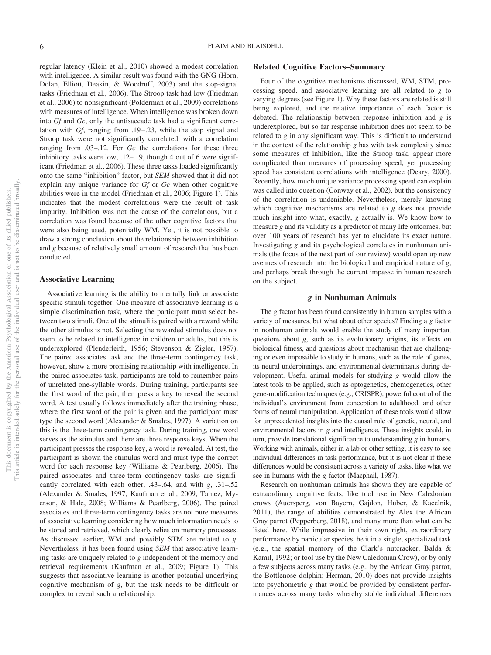regular latency (Klein et al., 2010) showed a modest correlation with intelligence. A similar result was found with the GNG (Horn, Dolan, Elliott, Deakin, & Woodruff, 2003) and the stop-signal tasks (Friedman et al., 2006). The Stroop task had low (Friedman et al., 2006) to nonsignificant (Polderman et al., 2009) correlations with measures of intelligence. When intelligence was broken down into *Gf* and *Gc*, only the antisaccade task had a significant correlation with *Gf*, ranging from .19–.23, while the stop signal and Stroop task were not significantly correlated, with a correlation ranging from .03–.12. For *Gc* the correlations for these three inhibitory tasks were low, .12–.19, though 4 out of 6 were significant (Friedman et al., 2006). These three tasks loaded significantly onto the same "inhibition" factor, but *SEM* showed that it did not explain any unique variance for *Gf* or *Gc* when other cognitive abilities were in the model (Friedman et al., 2006; Figure 1). This indicates that the modest correlations were the result of task impurity. Inhibition was not the cause of the correlations, but a correlation was found because of the other cognitive factors that were also being used, potentially WM. Yet, it is not possible to draw a strong conclusion about the relationship between inhibition and *g* because of relatively small amount of research that has been conducted.

#### **Associative Learning**

Associative learning is the ability to mentally link or associate specific stimuli together. One measure of associative learning is a simple discrimination task, where the participant must select between two stimuli. One of the stimuli is paired with a reward while the other stimulus is not. Selecting the rewarded stimulus does not seem to be related to intelligence in children or adults, but this is underexplored (Plenderleith, 1956; Stevenson & Zigler, 1957). The paired associates task and the three-term contingency task, however, show a more promising relationship with intelligence. In the paired associates task, participants are told to remember pairs of unrelated one-syllable words. During training, participants see the first word of the pair, then press a key to reveal the second word. A test usually follows immediately after the training phase, where the first word of the pair is given and the participant must type the second word (Alexander & Smales, 1997). A variation on this is the three-term contingency task. During training, one word serves as the stimulus and there are three response keys. When the participant presses the response key, a word is revealed. At test, the participant is shown the stimulus word and must type the correct word for each response key (Williams & Pearlberg, 2006). The paired associates and three-term contingency tasks are significantly correlated with each other, .43–.64, and with *g*, .31–.52 (Alexander & Smales, 1997; Kaufman et al., 2009; Tamez, Myerson, & Hale, 2008; Williams & Pearlberg, 2006). The paired associates and three-term contingency tasks are not pure measures of associative learning considering how much information needs to be stored and retrieved, which clearly relies on memory processes. As discussed earlier, WM and possibly STM are related to *g*. Nevertheless, it has been found using *SEM* that associative learning tasks are uniquely related to *g* independent of the memory and retrieval requirements (Kaufman et al., 2009; Figure 1). This suggests that associative learning is another potential underlying cognitive mechanism of *g*, but the task needs to be difficult or complex to reveal such a relationship.

# **Related Cognitive Factors–Summary**

Four of the cognitive mechanisms discussed, WM, STM, processing speed, and associative learning are all related to *g* to varying degrees (see Figure 1). Why these factors are related is still being explored, and the relative importance of each factor is debated. The relationship between response inhibition and *g* is underexplored, but so far response inhibition does not seem to be related to *g* in any significant way. This is difficult to understand in the context of the relationship *g* has with task complexity since some measures of inhibition, like the Stroop task, appear more complicated than measures of processing speed, yet processing speed has consistent correlations with intelligence (Deary, 2000). Recently, how much unique variance processing speed can explain was called into question (Conway et al., 2002), but the consistency of the correlation is undeniable. Nevertheless, merely knowing which cognitive mechanisms are related to *g* does not provide much insight into what, exactly, *g* actually is. We know how to measure *g* and its validity as a predictor of many life outcomes, but over 100 years of research has yet to elucidate its exact nature. Investigating *g* and its psychological correlates in nonhuman animals (the focus of the next part of our review) would open up new avenues of research into the biological and empirical nature of *g*, and perhaps break through the current impasse in human research on the subject.

#### *g* **in Nonhuman Animals**

The *g* factor has been found consistently in human samples with a variety of measures, but what about other species? Finding a *g* factor in nonhuman animals would enable the study of many important questions about *g*, such as its evolutionary origins, its effects on biological fitness, and questions about mechanism that are challenging or even impossible to study in humans, such as the role of genes, its neural underpinnings, and environmental determinants during development. Useful animal models for studying *g* would allow the latest tools to be applied, such as optogenetics, chemogenetics, other gene-modification techniques (e.g., CRISPR), powerful control of the individual's environment from conception to adulthood, and other forms of neural manipulation. Application of these tools would allow for unprecedented insights into the causal role of genetic, neural, and environmental factors in *g* and intelligence. These insights could, in turn, provide translational significance to understanding *g* in humans. Working with animals, either in a lab or other setting, it is easy to see individual differences in task performance, but it is not clear if these differences would be consistent across a variety of tasks, like what we see in humans with the *g* factor (Macphail, 1987).

Research on nonhuman animals has shown they are capable of extraordinary cognitive feats, like tool use in New Caledonian crows (Auersperg, von Bayern, Gajdon, Huber, & Kacelnik, 2011), the range of abilities demonstrated by Alex the African Gray parrot (Pepperberg, 2018), and many more than what can be listed here. While impressive in their own right, extraordinary performance by particular species, be it in a single, specialized task (e.g., the spatial memory of the Clark's nutcracker, Balda & Kamil, 1992; or tool use by the New Caledonian Crow), or by only a few subjects across many tasks (e.g., by the African Gray parrot, the Bottlenose dolphin; Herman, 2010) does not provide insights into psychometric *g* that would be provided by consistent performances across many tasks whereby stable individual differences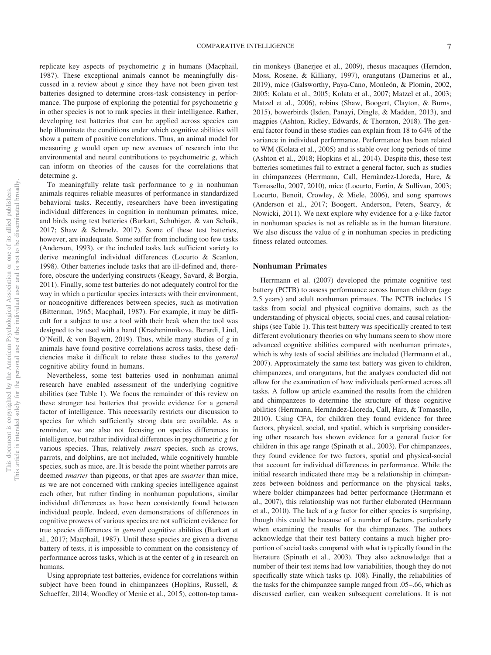replicate key aspects of psychometric *g* in humans (Macphail, 1987). These exceptional animals cannot be meaningfully discussed in a review about *g* since they have not been given test batteries designed to determine cross-task consistency in performance. The purpose of exploring the potential for psychometric *g* in other species is not to rank species in their intelligence. Rather, developing test batteries that can be applied across species can help illuminate the conditions under which cognitive abilities will show a pattern of positive correlations. Thus, an animal model for measuring *g* would open up new avenues of research into the environmental and neural contributions to psychometric *g*, which can inform on theories of the causes for the correlations that determine *g*.

To meaningfully relate task performance to *g* in nonhuman animals requires reliable measures of performance in standardized behavioral tasks. Recently, researchers have been investigating individual differences in cognition in nonhuman primates, mice, and birds using test batteries (Burkart, Schubiger, & van Schaik, 2017; Shaw & Schmelz, 2017). Some of these test batteries, however, are inadequate. Some suffer from including too few tasks (Anderson, 1993), or the included tasks lack sufficient variety to derive meaningful individual differences (Locurto & Scanlon, 1998). Other batteries include tasks that are ill-defined and, therefore, obscure the underlying constructs (Keagy, Savard, & Borgia, 2011). Finally, some test batteries do not adequately control for the way in which a particular species interacts with their environment, or noncognitive differences between species, such as motivation (Bitterman, 1965; Macphail, 1987). For example, it may be difficult for a subject to use a tool with their beak when the tool was designed to be used with a hand (Krasheninnikova, Berardi, Lind, O'Neill, & von Bayern, 2019). Thus, while many studies of *g* in animals have found positive correlations across tasks, these deficiencies make it difficult to relate these studies to the *general* cognitive ability found in humans.

Nevertheless, some test batteries used in nonhuman animal research have enabled assessment of the underlying cognitive abilities (see Table 1). We focus the remainder of this review on these stronger test batteries that provide evidence for a general factor of intelligence. This necessarily restricts our discussion to species for which sufficiently strong data are available. As a reminder, we are also not focusing on species differences in intelligence, but rather individual differences in psychometric *g* for various species. Thus, relatively *smart* species, such as crows, parrots, and dolphins, are not included, while cognitively humble species, such as mice, are. It is beside the point whether parrots are deemed *smarter* than pigeons, or that apes are *smarter* than mice, as we are not concerned with ranking species intelligence against each other, but rather finding in nonhuman populations, similar individual differences as have been consistently found between individual people. Indeed, even demonstrations of differences in cognitive prowess of various species are not sufficient evidence for true species differences in *general* cognitive abilities (Burkart et al., 2017; Macphail, 1987). Until these species are given a diverse battery of tests, it is impossible to comment on the consistency of performance across tasks, which is at the center of *g* in research on humans.

Using appropriate test batteries, evidence for correlations within subject have been found in chimpanzees (Hopkins, Russell, & Schaeffer, 2014; Woodley of Menie et al., 2015), cotton-top tamarin monkeys (Banerjee et al., 2009), rhesus macaques (Herndon, Moss, Rosene, & Killiany, 1997), orangutans (Damerius et al., 2019), mice (Galsworthy, Paya-Cano, Monleón, & Plomin, 2002, 2005; Kolata et al., 2005; Kolata et al., 2007; Matzel et al., 2003; Matzel et al., 2006), robins (Shaw, Boogert, Clayton, & Burns, 2015), bowerbirds (Isden, Panayi, Dingle, & Madden, 2013), and magpies (Ashton, Ridley, Edwards, & Thornton, 2018). The general factor found in these studies can explain from 18 to 64% of the variance in individual performance. Performance has been related to WM (Kolata et al., 2005) and is stable over long periods of time (Ashton et al., 2018; Hopkins et al., 2014). Despite this, these test batteries sometimes fail to extract a general factor, such as studies in chimpanzees (Herrmann, Call, Hernàndez-Lloreda, Hare, & Tomasello, 2007, 2010), mice (Locurto, Fortin, & Sullivan, 2003; Locurto, Benoit, Crowley, & Miele, 2006), and song sparrows (Anderson et al., 2017; Boogert, Anderson, Peters, Searcy, & Nowicki, 2011). We next explore why evidence for a *g-*like factor in nonhuman species is not as reliable as in the human literature. We also discuss the value of *g* in nonhuman species in predicting fitness related outcomes.

#### **Nonhuman Primates**

Herrmann et al. (2007) developed the primate cognitive test battery (PCTB) to assess performance across human children (age 2.5 years) and adult nonhuman primates. The PCTB includes 15 tasks from social and physical cognitive domains, such as the understanding of physical objects, social cues, and causal relationships (see Table 1). This test battery was specifically created to test different evolutionary theories on why humans seem to show more advanced cognitive abilities compared with nonhuman primates, which is why tests of social abilities are included (Herrmann et al., 2007). Approximately the same test battery was given to children, chimpanzees, and orangutans, but the analyses conducted did not allow for the examination of how individuals performed across all tasks. A follow up article examined the results from the children and chimpanzees to determine the structure of these cognitive abilities (Herrmann, Hernández-Lloreda, Call, Hare, & Tomasello, 2010). Using CFA, for children they found evidence for three factors, physical, social, and spatial, which is surprising considering other research has shown evidence for a general factor for children in this age range (Spinath et al., 2003). For chimpanzees, they found evidence for two factors, spatial and physical-social that account for individual differences in performance. While the initial research indicated there may be a relationship in chimpanzees between boldness and performance on the physical tasks, where bolder chimpanzees had better performance (Herrmann et al., 2007), this relationship was not further elaborated (Herrmann et al., 2010). The lack of a *g* factor for either species is surprising, though this could be because of a number of factors, particularly when examining the results for the chimpanzees. The authors acknowledge that their test battery contains a much higher proportion of social tasks compared with what is typically found in the literature (Spinath et al., 2003). They also acknowledge that a number of their test items had low variabilities, though they do not specifically state which tasks (p. 108). Finally, the reliabilities of the tasks for the chimpanzee sample ranged from .05–.66, which as discussed earlier, can weaken subsequent correlations. It is not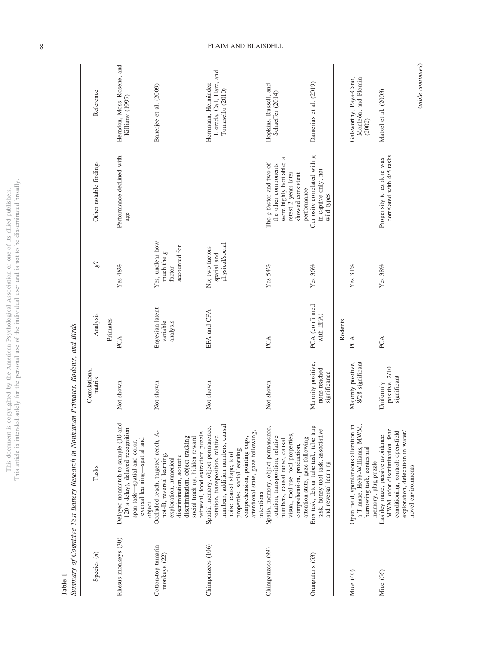|               | j                        |
|---------------|--------------------------|
|               |                          |
| í             |                          |
| ¢<br>Ś        |                          |
| Ī             |                          |
|               |                          |
|               | j                        |
|               |                          |
|               |                          |
|               |                          |
| Í             |                          |
|               |                          |
|               |                          |
|               |                          |
|               |                          |
|               |                          |
|               |                          |
|               |                          |
|               |                          |
| ì             |                          |
| J             |                          |
|               |                          |
|               |                          |
|               |                          |
|               |                          |
|               | $\overline{a}$           |
|               |                          |
|               | i                        |
|               |                          |
|               |                          |
|               | j                        |
|               |                          |
|               |                          |
| c c<br>ĭ<br>ì | j                        |
| j<br>)        |                          |
| j             |                          |
| í             |                          |
|               |                          |
|               |                          |
|               |                          |
|               |                          |
|               |                          |
|               |                          |
| i<br>j        | ĝ                        |
|               |                          |
| I             |                          |
|               |                          |
|               | $\overline{a}$           |
|               |                          |
|               |                          |
|               | l                        |
|               |                          |
| ï             | $\overline{\phantom{a}}$ |
|               |                          |
|               | ĵ<br>ł                   |
| j             | í                        |
|               |                          |
| ł<br>J        |                          |
|               | j                        |
|               |                          |
| í             |                          |
|               |                          |
|               | ١                        |
|               |                          |
|               |                          |
|               |                          |
| ł<br>Í        |                          |
|               |                          |
|               |                          |
|               |                          |
|               | ļ                        |
|               |                          |
| hic           | ċ                        |
| ì             |                          |
|               | š                        |
|               | ĺ                        |
|               | í                        |

Table 1<br>Summary of Cognitive Test Battery Research in Nonhuman Primates, Rodents, and Birds Summary of Cognitive Test Battery Research in Nonhuman Primates, Rodents, and Birds

| Species $(n)$                      | Tasks                                                                                                                                                                                                                                                          | Correlational<br>matrix                            | Analysis                                | $g^2$                                                                    | Other notable findings                                                                                                                             | Reference                                                            |
|------------------------------------|----------------------------------------------------------------------------------------------------------------------------------------------------------------------------------------------------------------------------------------------------------------|----------------------------------------------------|-----------------------------------------|--------------------------------------------------------------------------|----------------------------------------------------------------------------------------------------------------------------------------------------|----------------------------------------------------------------------|
|                                    |                                                                                                                                                                                                                                                                |                                                    | Primates                                |                                                                          |                                                                                                                                                    |                                                                      |
| Rhesus monkeys (30)                | and<br>120 s delay), delayed recognition<br>Delayed nonmatch to sample (10<br>reversal learning-spatial and<br>span task-spatial and color,<br>object                                                                                                          | Not shown                                          | PCA                                     | Yes $48\%$                                                               | Performance declined with<br>age                                                                                                                   | Herndon, Moss, Rosene, and<br>Killiany (1997)                        |
| Cotton-top tamarin<br>monkeys (22) | Occluded reach, targeted reach, A-<br>retrieval, food extraction puzzle<br>discrimination, object tracking<br>social tracking, hidden reward<br>not-B, reversal learning,<br>discrimination, acoustic<br>exploration, numerical                                | Not shown                                          | Bayesian latent<br>variable<br>analysis | Yes, unclear how<br>accounted for<br>much the $\boldsymbol{g}$<br>factor |                                                                                                                                                    | Banerjee et al. (2009)                                               |
| Chimpanzees (106)                  | numbers, addition numbers, causal<br>Spatial memory, object permanence,<br>attentional state, gaze following,<br>rotation, transposition, relative<br>comprehension, pointing cups,<br>properties, social learning,<br>noise, causal shape, tool<br>intentions | Not shown                                          | EFA and CFA                             | physical/social<br>No; two factors<br>spatial and                        |                                                                                                                                                    | Lloreda, Call, Hare, and<br>Herrmann, Hernández-<br>Tomasello (2010) |
| Chimpanzees (99)                   | Spatial memory, object permanence,<br>visual, tool use, tool properties,<br>rotation, transposition, relative<br>attention state, gaze following<br>numbers, causal noise, causal<br>comprehension, production,                                                | Not shown                                          | PCA                                     | Yes 54%                                                                  | $\approx$<br>were highly heritable;<br>The g factor and two of<br>the other components<br>retest 2 years later<br>showed consistent<br>performance | Hopkins, Russell, and<br>Schaeffer (2014)                            |
| Orangutans (53)                    | Box task, detour tube task, tube trap<br>task, honey tool task, associative<br>and reversal learning                                                                                                                                                           | Majority positive,<br>none reached<br>significance | PCA (confirmed<br>with EFA)             | Yes $36\%$                                                               | Curiosity correlated with g<br>in captive only, not<br>wild types                                                                                  | Damerius et al. (2019)                                               |
|                                    |                                                                                                                                                                                                                                                                |                                                    | Rodents                                 |                                                                          |                                                                                                                                                    |                                                                      |
| Mice (40)                          | Open field, spontaneous alteration in<br>a T maze, Hebb-Williams, MWM,<br>burrowing task, contextual<br>memory, plug puzzle                                                                                                                                    | Majority positive,<br>8/28 significant             | PCA                                     | Yes $31\%$                                                               |                                                                                                                                                    | Galsworthy, Paya-Cano,<br>Monleón, and Plomin<br>$(2002)$            |
| Mice (56)                          | MWM, odor discrimination, fear<br>conditioning, control: open-field<br>exploration, defecation in water/<br>Lashley maze, passive avoidance,<br>novel environments                                                                                             | positive, 2/10<br>significant<br>Uniformly         | PCA                                     | Yes 38%                                                                  | correlated with 4/5 tasks<br>Propensity to explore was                                                                                             | Matzel et al. (2003)                                                 |

(*table continues*)

 $\qquad \qquad (table~continues)$ 

8 FLAIM AND BLAISDELL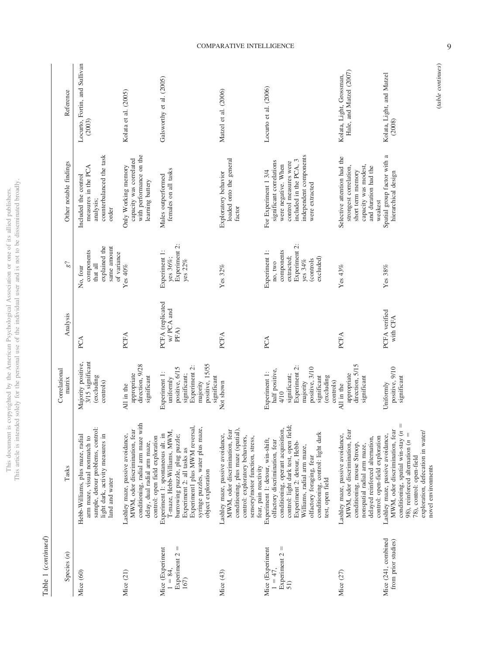| Table 1 ( <i>continued</i> )                               |                                                                                                                                                                                                                                                                                                     |                                                                                                                                                  |                                           |                                                                                                            |                                                                                                                                                                        |                                                     |
|------------------------------------------------------------|-----------------------------------------------------------------------------------------------------------------------------------------------------------------------------------------------------------------------------------------------------------------------------------------------------|--------------------------------------------------------------------------------------------------------------------------------------------------|-------------------------------------------|------------------------------------------------------------------------------------------------------------|------------------------------------------------------------------------------------------------------------------------------------------------------------------------|-----------------------------------------------------|
| Species $(n)$                                              | Tasks                                                                                                                                                                                                                                                                                               | Correlational<br>matrix                                                                                                                          | Analysis                                  | $g^2$                                                                                                      | Other notable findings                                                                                                                                                 | Reference                                           |
| Mice (60)                                                  | sample, detour problems, control:<br>light dark, activity measures in<br>Hebb-Williams, plus maze, radial<br>arm maze, visual nonmatch to<br>land and water                                                                                                                                         | Majority positive,<br>3/15 significant<br>(excluding<br>controls)                                                                                | PCA                                       | explained the<br>same amount<br>components<br>of variance<br>that all<br>No, four                          | counterbalanced the task<br>measures in the PCA<br>Included the control<br>analysis;<br>order                                                                          | Locurto, Fortin, and Sullivan<br>(2003)             |
| Mice (21)                                                  | conditioning, radial arm maze with<br>MWM, odor discrimination, fear<br>Lashley maze, passive avoidance,<br>control: open field exploration<br>delay, dual radial arm maze,                                                                                                                         | direction, 9/28<br>appropriate<br>significant<br>All in the                                                                                      | PCFA                                      | Yes $40\%$                                                                                                 | with performance on the<br>capacity was correlated<br>Only Working memory<br>learning battery                                                                          | Kolata et al. (2005)                                |
| Ш<br>Mice (Experiment<br>Experiment 2<br>$1 = 84,$<br>167) | Experiment1 plus MWM reversal,<br>syringe puzzles, water plus maze,<br>T-maze, Hebb-Williams, MWM<br>burrowing puzzle, plug puzzle;<br>Experiment 1: spontaneous alt. in<br>Experiment 2: all tasks as<br>object exploration                                                                        | positive, 15/55<br>Experiment 2:<br>positive, 6/15<br>Experiment 1:<br>significant;<br>significant<br>uniformly<br>majority                      | PCFA (replicated<br>$\le$ PCA and<br>PFA) | Experiment 2:<br>Experiment 1:<br>yes 36%;<br>yes $22%$                                                    | females on all tasks<br>Males outperformed                                                                                                                             | Galsworthy et al. (2005)                            |
| Mice (43)                                                  | conditioning, plus maze (spatial),<br>MWM, odor discrimination, fear<br>Lashley maze, passive avoidance,<br>control: exploratory behaviors,<br>sensory/motor function, stress,<br>fear, pain reactivity                                                                                             | Not shown                                                                                                                                        | PCFA                                      | Yes 32%                                                                                                    | loaded onto the general<br>Exploratory behavior<br>factor                                                                                                              | Matzel et al. (2006)                                |
| Experiment $2 =$<br>Mice (Experiment<br>$1 = 47$ ,<br>51)  | control: light dark test, open field;<br>conditioning, operant acquisition,<br>conditioning, control: light dark<br>Experiment 1: detour, win-shift,<br>olfactory discrimination, fear<br>Experiment 2: detour, Hebb-<br>Williams, radial arm maze,<br>olfactory foraging, fear<br>test, open field | Experiment 2:<br>positive, 3/10<br>half positive,<br>Experiment 1:<br>significant;<br>(excluding<br>significant<br>controls)<br>majority<br>4/10 | PCA                                       | Experiment 2:<br>components<br>Experiment 1:<br>extracted;<br>excluded)<br>yes 34%<br>(controls<br>no, two | independent components<br>included in the PCA, 3<br>significant correlations<br>control measures were<br>were negative. When<br>For Experiment 1 3/4<br>were extracted | Locurto et al. (2006)                               |
| Mice (27)                                                  | MWM, odor discrimination, fear<br>Lashley maze, passive avoidance,<br>control: open-field exploration<br>delayed reinforced alternation,<br>conditioning, mouse Stroop,<br>nonspatial radial arm maze,                                                                                              | direction, 5/15<br>appropriate<br>significant<br>All in the                                                                                      | PCFA                                      | Yes $43\%$                                                                                                 | Selective attention had the<br>capacity was modest,<br>strongest correlation,<br>and duration had the<br>short term memory<br>weakest                                  | Hale, and Matzel (2007)<br>Kolata, Light, Grossman, |
| Mice (241, combined<br>from prior studies)                 | MWM, odor discrimination, fear<br>conditioning, spatial win-stay (n<br>exploration, defecation in water/<br>Lashley maze, passive avoidance,<br>98), reinforced alternation ( $n =$<br>78), control: open-field<br>novel environments                                                               | positive, 9/10<br>significant<br>Uniformly                                                                                                       | PCFA verified<br>with CFA                 | Yes 38%                                                                                                    | Spatial group factor with a<br>hierarchical design                                                                                                                     | Kolata, Light, and Matzel<br>(2008)                 |

9

This document is copyrighted by the American Psychological Association or one of its allied publishers.<br>This article is intended solely for the personal use of the individual user and is not to be disseminated broadly. This article is intended solely for the personal use of the individual user and is not to be disseminated broadly. This document is copyrighted by the American Psychological Association or one of its allied publishers.

Table 1 (continued)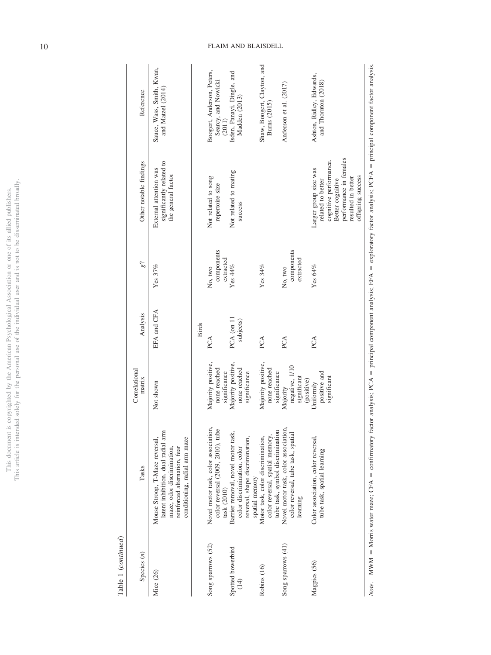| į                     | ï      |
|-----------------------|--------|
| i<br>í                |        |
|                       |        |
|                       |        |
|                       |        |
|                       |        |
|                       |        |
|                       |        |
| į                     | į      |
|                       | I      |
|                       |        |
| ł                     |        |
|                       |        |
|                       |        |
|                       |        |
| S 65                  |        |
|                       |        |
|                       |        |
|                       |        |
|                       |        |
| ١                     |        |
|                       |        |
|                       |        |
|                       | š      |
|                       |        |
|                       | ï      |
|                       |        |
|                       |        |
| j<br>í                |        |
| j<br>)                |        |
| ì                     |        |
|                       |        |
|                       |        |
|                       |        |
|                       |        |
|                       |        |
|                       |        |
| ioon                  | ś      |
| ì                     |        |
|                       |        |
|                       |        |
| i                     |        |
|                       | į      |
| j                     |        |
|                       |        |
|                       |        |
|                       |        |
|                       | ĵ      |
|                       | í      |
|                       |        |
| j<br>J                | ī<br>j |
| i                     |        |
| ï                     |        |
| j                     |        |
|                       |        |
|                       |        |
|                       |        |
| ֕                     |        |
| ţ                     |        |
|                       |        |
| j                     |        |
|                       |        |
|                       |        |
|                       |        |
| $\overline{\text{m}}$ |        |
| ì                     |        |
|                       | 110    |
|                       | l<br>ì |
|                       |        |

Table 1 (continued) Table 1 (*continued*)

| Reference               | Sauce, Wass, Smith, Kwan,<br>and Matzel (2014)                                                                                                                      | Boogert, Anderson, Peters,<br>Searcy, and Nowicki<br>(2011)                              | Isden, Panayi, Dingle, and<br>Madden (2013)                                                                           | Shaw, Boogert, Clayton, and<br>Burns (2015)                                                              | Anderson et al. (2017)                                                                 | Ashton, Ridley, Edwards,<br>and Thornton (2018)                                                                                                               |
|-------------------------|---------------------------------------------------------------------------------------------------------------------------------------------------------------------|------------------------------------------------------------------------------------------|-----------------------------------------------------------------------------------------------------------------------|----------------------------------------------------------------------------------------------------------|----------------------------------------------------------------------------------------|---------------------------------------------------------------------------------------------------------------------------------------------------------------|
| Other notable findings  | significantly related to<br>External attention was<br>the general factor                                                                                            | Not related to song<br>repertoire size                                                   | Not related to mating<br>success                                                                                      |                                                                                                          |                                                                                        | performance in females<br>cognitive performance.<br>Larger group size was<br>offspring success<br>resulted in better<br>Better cognitive<br>related to better |
| β?                      | Yes $37%$                                                                                                                                                           | components<br>extracted<br>No, two                                                       | Yes $44\%$                                                                                                            | Yes $34\%$                                                                                               | components<br>extracted<br>No, two                                                     | Yes $64\%$                                                                                                                                                    |
| Analysis                | EFA and CFA                                                                                                                                                         | <b>Birds</b><br>PCA                                                                      | PCA (on 11<br>subjects)                                                                                               | PCA                                                                                                      | PCA                                                                                    | PCA                                                                                                                                                           |
| Correlational<br>matrix | Not shown                                                                                                                                                           | Majority positive,<br>none reached<br>significance                                       | Majority positive,<br>none reached<br>significance                                                                    | Majority positive,<br>none reached<br>significance                                                       | negative, 1/10<br>significant<br>(positive)<br>Majority                                | positive and<br>significant<br>Uniformly                                                                                                                      |
| Tasks                   | latent inhibition, dual radial arm<br>conditioning, radial arm maze<br>Mouse Stroop, T-Maze reversal,<br>maze, odor discrimination,<br>reinforced alternation, fear | Novel motor task, color association,<br>color reversal (2009, 2010), tube<br>task (2010) | Barrier removal, novel motor task<br>reversal, shape discrimination,<br>color discrimination, color<br>spatial memory | tube task, symbol discrimination<br>Motor task, color discrimination,<br>color reversal, spatial memory, | Novel motor task, color association,<br>color reversal, tube task, spatial<br>learning | Color association, color reversal,<br>tube task, spatial learning                                                                                             |
| Species $(n)$           | Mice (26)                                                                                                                                                           | Song sparrows (52)                                                                       | Spotted bowerbird<br>$\left(\frac{1}{4}\right)$                                                                       | Robins (16)                                                                                              | Song sparrows (41)                                                                     | Magpies (56)                                                                                                                                                  |

Note. MWM = Morris water maze; CFA = confirmatory factor analysis; PCA = principal component analysis; EFA = exploratory factor analysis; PCFA = principal component factor analysis.  $=$  Morris water maze; CFA  $=$  $=$  confirmatory factor analysis; PCA  $=$ = principal component analysis; EFA =  $=$  exploratory factor analysis; PCFA  $=$ principal component factor analysis.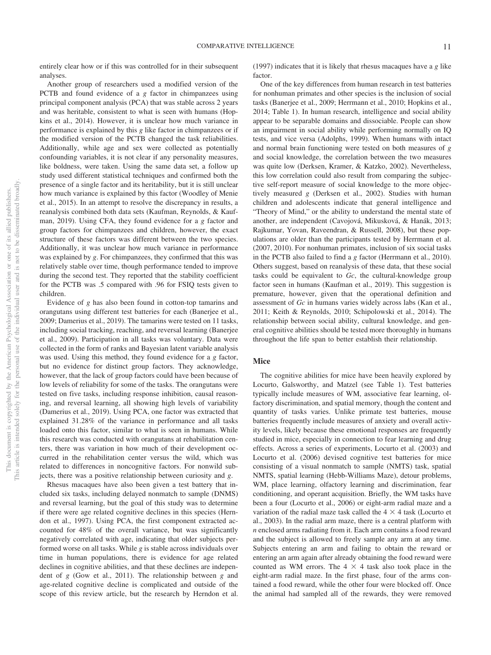entirely clear how or if this was controlled for in their subsequent analyses.

Another group of researchers used a modified version of the PCTB and found evidence of a *g* factor in chimpanzees using principal component analysis (PCA) that was stable across 2 years and was heritable, consistent to what is seen with humans (Hopkins et al., 2014). However, it is unclear how much variance in performance is explained by this *g* like factor in chimpanzees or if the modified version of the PCTB changed the task reliabilities. Additionally, while age and sex were collected as potentially confounding variables, it is not clear if any personality measures, like boldness, were taken. Using the same data set, a follow up study used different statistical techniques and confirmed both the presence of a single factor and its heritability, but it is still unclear how much variance is explained by this factor (Woodley of Menie et al., 2015). In an attempt to resolve the discrepancy in results, a reanalysis combined both data sets (Kaufman, Reynolds, & Kaufman, 2019). Using CFA, they found evidence for a *g* factor and group factors for chimpanzees and children, however, the exact structure of these factors was different between the two species. Additionally, it was unclear how much variance in performance was explained by *g*. For chimpanzees, they confirmed that this was relatively stable over time, though performance tended to improve during the second test. They reported that the stability coefficient for the PCTB was .5 compared with .96 for FSIQ tests given to children.

Evidence of *g* has also been found in cotton-top tamarins and orangutans using different test batteries for each (Banerjee et al., 2009; Damerius et al., 2019). The tamarins were tested on 11 tasks, including social tracking, reaching, and reversal learning (Banerjee et al., 2009). Participation in all tasks was voluntary. Data were collected in the form of ranks and Bayesian latent variable analysis was used. Using this method, they found evidence for a *g* factor, but no evidence for distinct group factors. They acknowledge, however, that the lack of group factors could have been because of low levels of reliability for some of the tasks. The orangutans were tested on five tasks, including response inhibition, causal reasoning, and reversal learning, all showing high levels of variability (Damerius et al., 2019). Using PCA, one factor was extracted that explained 31.28% of the variance in performance and all tasks loaded onto this factor, similar to what is seen in humans. While this research was conducted with orangutans at rehabilitation centers, there was variation in how much of their development occurred in the rehabilitation center versus the wild, which was related to differences in noncognitive factors. For nonwild subjects, there was a positive relationship between curiosity and *g*.

Rhesus macaques have also been given a test battery that included six tasks, including delayed nonmatch to sample (DNMS) and reversal learning, but the goal of this study was to determine if there were age related cognitive declines in this species (Herndon et al., 1997). Using PCA, the first component extracted accounted for 48% of the overall variance, but was significantly negatively correlated with age, indicating that older subjects performed worse on all tasks. While *g* is stable across individuals over time in human populations, there is evidence for age related declines in cognitive abilities, and that these declines are independent of *g* (Gow et al., 2011). The relationship between *g* and age-related cognitive decline is complicated and outside of the scope of this review article, but the research by Herndon et al.

(1997) indicates that it is likely that rhesus macaques have a *g* like factor.

One of the key differences from human research in test batteries for nonhuman primates and other species is the inclusion of social tasks (Banerjee et al., 2009; Herrmann et al., 2010; Hopkins et al., 2014; Table 1). In human research, intelligence and social ability appear to be separable domains and dissociable. People can show an impairment in social ability while performing normally on IQ tests, and vice versa (Adolphs, 1999). When humans with intact and normal brain functioning were tested on both measures of *g* and social knowledge, the correlation between the two measures was quite low (Derksen, Kramer, & Katzko, 2002). Nevertheless, this low correlation could also result from comparing the subjective self-report measure of social knowledge to the more objectively measured *g* (Derksen et al., 2002). Studies with human children and adolescents indicate that general intelligence and "Theory of Mind," or the ability to understand the mental state of another, are independent (Cavojová, Mikusková, & Hanák, 2013; Rajkumar, Yovan, Raveendran, & Russell, 2008), but these populations are older than the participants tested by Herrmann et al. (2007, 2010). For nonhuman primates, inclusion of six social tasks in the PCTB also failed to find a *g* factor (Herrmann et al., 2010). Others suggest, based on reanalysis of these data, that these social tasks could be equivalent to *Gc*, the cultural-knowledge group factor seen in humans (Kaufman et al., 2019). This suggestion is premature, however, given that the operational definition and assessment of *Gc* in humans varies widely across labs (Kan et al., 2011; Keith & Reynolds, 2010; Schipolowski et al., 2014). The relationship between social ability, cultural knowledge, and general cognitive abilities should be tested more thoroughly in humans throughout the life span to better establish their relationship.

# **Mice**

The cognitive abilities for mice have been heavily explored by Locurto, Galsworthy, and Matzel (see Table 1). Test batteries typically include measures of WM, associative fear learning, olfactory discrimination, and spatial memory, though the content and quantity of tasks varies. Unlike primate test batteries, mouse batteries frequently include measures of anxiety and overall activity levels, likely because these emotional responses are frequently studied in mice, especially in connection to fear learning and drug effects. Across a series of experiments, Locurto et al. (2003) and Locurto et al. (2006) devised cognitive test batteries for mice consisting of a visual nonmatch to sample (NMTS) task, spatial NMTS, spatial learning (Hebb-Williams Maze), detour problems, WM, place learning, olfactory learning and discrimination, fear conditioning, and operant acquisition. Briefly, the WM tasks have been a four (Locurto et al., 2006) or eight-arm radial maze and a variation of the radial maze task called the  $4 \times 4$  task (Locurto et al., 2003). In the radial arm maze, there is a central platform with *n* enclosed arms radiating from it. Each arm contains a food reward and the subject is allowed to freely sample any arm at any time. Subjects entering an arm and failing to obtain the reward or entering an arm again after already obtaining the food reward were counted as WM errors. The  $4 \times 4$  task also took place in the eight-arm radial maze. In the first phase, four of the arms contained a food reward, while the other four were blocked off. Once the animal had sampled all of the rewards, they were removed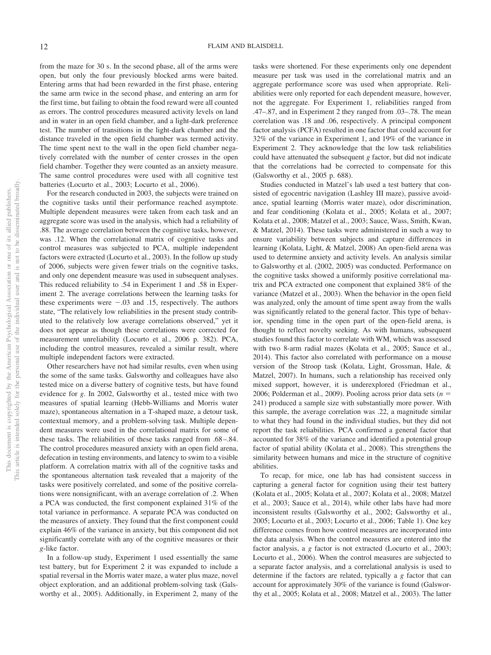from the maze for 30 s. In the second phase, all of the arms were open, but only the four previously blocked arms were baited. Entering arms that had been rewarded in the first phase, entering the same arm twice in the second phase, and entering an arm for the first time, but failing to obtain the food reward were all counted as errors. The control procedures measured activity levels on land and in water in an open field chamber, and a light-dark preference test. The number of transitions in the light-dark chamber and the distance traveled in the open field chamber was termed activity. The time spent next to the wall in the open field chamber negatively correlated with the number of center crosses in the open field chamber. Together they were counted as an anxiety measure. The same control procedures were used with all cognitive test batteries (Locurto et al., 2003; Locurto et al., 2006).

For the research conducted in 2003, the subjects were trained on the cognitive tasks until their performance reached asymptote. Multiple dependent measures were taken from each task and an aggregate score was used in the analysis, which had a reliability of .88. The average correlation between the cognitive tasks, however, was .12. When the correlational matrix of cognitive tasks and control measures was subjected to PCA, multiple independent factors were extracted (Locurto et al., 2003). In the follow up study of 2006, subjects were given fewer trials on the cognitive tasks, and only one dependent measure was used in subsequent analyses. This reduced reliability to .54 in Experiment 1 and .58 in Experiment 2. The average correlations between the learning tasks for these experiments were  $-.03$  and  $.15$ , respectively. The authors state, "The relatively low reliabilities in the present study contributed to the relatively low average correlations observed," yet it does not appear as though these correlations were corrected for measurement unreliability (Locurto et al., 2006 p. 382). PCA, including the control measures, revealed a similar result, where multiple independent factors were extracted.

Other researchers have not had similar results, even when using the some of the same tasks. Galsworthy and colleagues have also tested mice on a diverse battery of cognitive tests, but have found evidence for *g*. In 2002, Galsworthy et al., tested mice with two measures of spatial learning (Hebb-Williams and Morris water maze), spontaneous alternation in a T-shaped maze, a detour task, contextual memory, and a problem-solving task. Multiple dependent measures were used in the correlational matrix for some of these tasks. The reliabilities of these tasks ranged from .68 –.84. The control procedures measured anxiety with an open field arena, defecation in testing environments, and latency to swim to a visible platform. A correlation matrix with all of the cognitive tasks and the spontaneous alternation task revealed that a majority of the tasks were positively correlated, and some of the positive correlations were nonsignificant, with an average correlation of .2. When a PCA was conducted, the first component explained 31% of the total variance in performance. A separate PCA was conducted on the measures of anxiety. They found that the first component could explain 46% of the variance in anxiety, but this component did not significantly correlate with any of the cognitive measures or their *g*-like factor.

In a follow-up study, Experiment 1 used essentially the same test battery, but for Experiment 2 it was expanded to include a spatial reversal in the Morris water maze, a water plus maze, novel object exploration, and an additional problem-solving task (Galsworthy et al., 2005). Additionally, in Experiment 2, many of the tasks were shortened. For these experiments only one dependent measure per task was used in the correlational matrix and an aggregate performance score was used when appropriate. Reliabilities were only reported for each dependent measure, however, not the aggregate. For Experiment 1, reliabilities ranged from .47–.87, and in Experiment 2 they ranged from .03–.78. The mean correlation was .18 and .06, respectively. A principal component factor analysis (PCFA) resulted in one factor that could account for 32% of the variance in Experiment 1, and 19% of the variance in Experiment 2. They acknowledge that the low task reliabilities could have attenuated the subsequent *g* factor, but did not indicate that the correlations had be corrected to compensate for this (Galsworthy et al., 2005 p. 688).

Studies conducted in Matzel's lab used a test battery that consisted of egocentric navigation (Lashley III maze), passive avoidance, spatial learning (Morris water maze), odor discrimination, and fear conditioning (Kolata et al., 2005; Kolata et al., 2007; Kolata et al., 2008; Matzel et al., 2003; Sauce, Wass, Smith, Kwan, & Matzel, 2014). These tasks were administered in such a way to ensure variability between subjects and capture differences in learning (Kolata, Light, & Matzel, 2008) An open-field arena was used to determine anxiety and activity levels. An analysis similar to Galsworthy et al. (2002, 2005) was conducted. Performance on the cognitive tasks showed a uniformly positive correlational matrix and PCA extracted one component that explained 38% of the variance (Matzel et al., 2003). When the behavior in the open field was analyzed, only the amount of time spent away from the walls was significantly related to the general factor. This type of behavior, spending time in the open part of the open-field arena, is thought to reflect novelty seeking. As with humans, subsequent studies found this factor to correlate with WM, which was assessed with two 8-arm radial mazes (Kolata et al., 2005; Sauce et al., 2014). This factor also correlated with performance on a mouse version of the Stroop task (Kolata, Light, Grossman, Hale, & Matzel, 2007). In humans, such a relationship has received only mixed support, however, it is underexplored (Friedman et al., 2006; Polderman et al., 2009). Pooling across prior data sets ( $n =$ 241) produced a sample size with substantially more power. With this sample, the average correlation was .22, a magnitude similar to what they had found in the individual studies, but they did not report the task reliabilities. PCA confirmed a general factor that accounted for 38% of the variance and identified a potential group factor of spatial ability (Kolata et al., 2008). This strengthens the similarity between humans and mice in the structure of cognitive abilities.

To recap, for mice, one lab has had consistent success in capturing a general factor for cognition using their test battery (Kolata et al., 2005; Kolata et al., 2007; Kolata et al., 2008; Matzel et al., 2003; Sauce et al., 2014), while other labs have had more inconsistent results (Galsworthy et al., 2002; Galsworthy et al., 2005; Locurto et al., 2003; Locurto et al., 2006; Table 1). One key difference comes from how control measures are incorporated into the data analysis. When the control measures are entered into the factor analysis, a *g* factor is not extracted (Locurto et al., 2003; Locurto et al., 2006). When the control measures are subjected to a separate factor analysis, and a correlational analysis is used to determine if the factors are related, typically a *g* factor that can account for approximately 30% of the variance is found (Galsworthy et al., 2005; Kolata et al., 2008; Matzel et al., 2003). The latter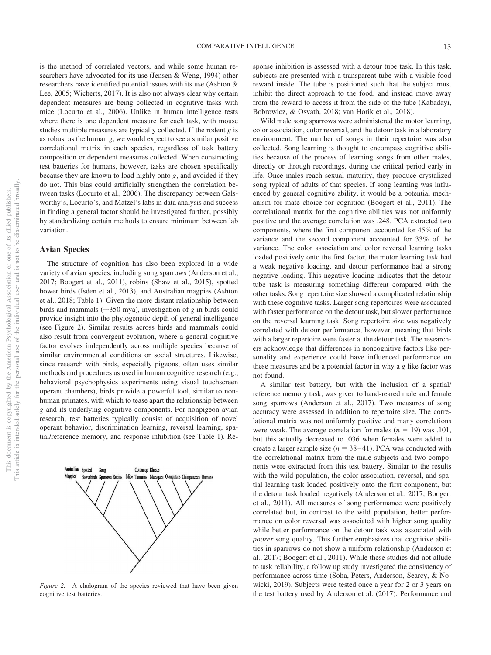is the method of correlated vectors, and while some human researchers have advocated for its use (Jensen & Weng, 1994) other researchers have identified potential issues with its use (Ashton & Lee, 2005; Wicherts, 2017). It is also not always clear why certain dependent measures are being collected in cognitive tasks with mice (Locurto et al., 2006). Unlike in human intelligence tests where there is one dependent measure for each task, with mouse studies multiple measures are typically collected. If the rodent *g* is as robust as the human *g*, we would expect to see a similar positive correlational matrix in each species, regardless of task battery composition or dependent measures collected. When constructing test batteries for humans, however, tasks are chosen specifically because they are known to load highly onto *g*, and avoided if they do not. This bias could artificially strengthen the correlation between tasks (Locurto et al., 2006). The discrepancy between Galsworthy's, Locurto's, and Matzel's labs in data analysis and success in finding a general factor should be investigated further, possibly by standardizing certain methods to ensure minimum between lab variation.

# **Avian Species**

Australian Spotted

Magnies

Song

The structure of cognition has also been explored in a wide variety of avian species, including song sparrows (Anderson et al., 2017; Boogert et al., 2011), robins (Shaw et al., 2015), spotted bower birds (Isden et al., 2013), and Australian magpies (Ashton et al., 2018; Table 1). Given the more distant relationship between birds and mammals ( $\sim$ 350 mya), investigation of *g* in birds could provide insight into the phylogenetic depth of general intelligence (see Figure 2). Similar results across birds and mammals could also result from convergent evolution, where a general cognitive factor evolves independently across multiple species because of similar environmental conditions or social structures. Likewise, since research with birds, especially pigeons, often uses similar methods and procedures as used in human cognitive research (e.g., behavioral psychophysics experiments using visual touchscreen operant chambers), birds provide a powerful tool, similar to nonhuman primates, with which to tease apart the relationship between *g* and its underlying cognitive components. For nonpigeon avian research, test batteries typically consist of acquisition of novel operant behavior, discrimination learning, reversal learning, spatial/reference memory, and response inhibition (see Table 1). Re-

Cottontop Rhesus Bowerbirds Sparrows Robins Mice Tamarins Macaques Orangutans Chimpanzees Humans

*Figure 2.* A cladogram of the species reviewed that have been given cognitive test batteries.

sponse inhibition is assessed with a detour tube task. In this task, subjects are presented with a transparent tube with a visible food reward inside. The tube is positioned such that the subject must inhibit the direct approach to the food, and instead move away from the reward to access it from the side of the tube (Kabadayi, Bobrowicz, & Osvath, 2018; van Horik et al., 2018).

Wild male song sparrows were administered the motor learning, color association, color reversal, and the detour task in a laboratory environment. The number of songs in their repertoire was also collected. Song learning is thought to encompass cognitive abilities because of the process of learning songs from other males, directly or through recordings, during the critical period early in life. Once males reach sexual maturity, they produce crystalized song typical of adults of that species. If song learning was influenced by general cognitive ability, it would be a potential mechanism for mate choice for cognition (Boogert et al., 2011). The correlational matrix for the cognitive abilities was not uniformly positive and the average correlation was .248. PCA extracted two components, where the first component accounted for 45% of the variance and the second component accounted for 33% of the variance. The color association and color reversal learning tasks loaded positively onto the first factor, the motor learning task had a weak negative loading, and detour performance had a strong negative loading. This negative loading indicates that the detour tube task is measuring something different compared with the other tasks. Song repertoire size showed a complicated relationship with these cognitive tasks. Larger song repertoires were associated with faster performance on the detour task, but slower performance on the reversal learning task. Song repertoire size was negatively correlated with detour performance, however, meaning that birds with a larger repertoire were faster at the detour task. The researchers acknowledge that differences in noncognitive factors like personality and experience could have influenced performance on these measures and be a potential factor in why a *g* like factor was not found.

A similar test battery, but with the inclusion of a spatial/ reference memory task, was given to hand-reared male and female song sparrows (Anderson et al., 2017). Two measures of song accuracy were assessed in addition to repertoire size. The correlational matrix was not uniformly positive and many correlations were weak. The average correlation for males  $(n = 19)$  was .101, but this actually decreased to .036 when females were added to create a larger sample size  $(n = 38-41)$ . PCA was conducted with the correlational matrix from the male subjects and two components were extracted from this test battery. Similar to the results with the wild population, the color association, reversal, and spatial learning task loaded positively onto the first component, but the detour task loaded negatively (Anderson et al., 2017; Boogert et al., 2011). All measures of song performance were positively correlated but, in contrast to the wild population, better performance on color reversal was associated with higher song quality while better performance on the detour task was associated with *poorer* song quality. This further emphasizes that cognitive abilities in sparrows do not show a uniform relationship (Anderson et al., 2017; Boogert et al., 2011). While these studies did not allude to task reliability, a follow up study investigated the consistency of performance across time (Soha, Peters, Anderson, Searcy, & Nowicki, 2019). Subjects were tested once a year for 2 or 3 years on the test battery used by Anderson et al. (2017). Performance and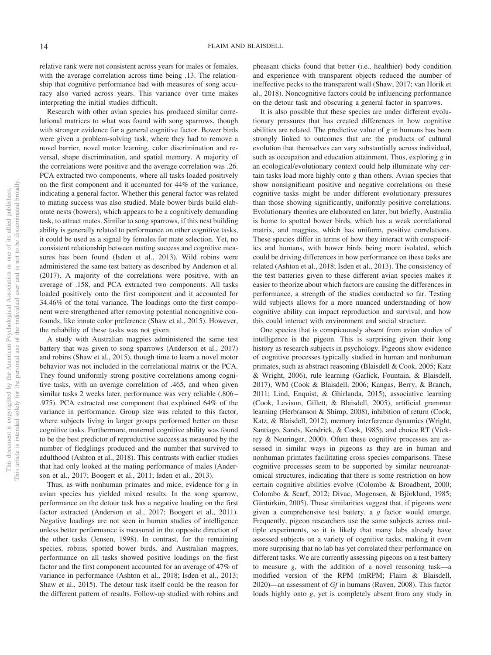relative rank were not consistent across years for males or females, with the average correlation across time being .13. The relationship that cognitive performance had with measures of song accuracy also varied across years. This variance over time makes interpreting the initial studies difficult.

Research with other avian species has produced similar correlational matrices to what was found with song sparrows, though with stronger evidence for a general cognitive factor. Bower birds were given a problem-solving task, where they had to remove a novel barrier, novel motor learning, color discrimination and reversal, shape discrimination, and spatial memory. A majority of the correlations were positive and the average correlation was .26. PCA extracted two components, where all tasks loaded positively on the first component and it accounted for 44% of the variance, indicating a general factor. Whether this general factor was related to mating success was also studied. Male bower birds build elaborate nests (bowers), which appears to be a cognitively demanding task, to attract mates. Similar to song sparrows, if this nest building ability is generally related to performance on other cognitive tasks, it could be used as a signal by females for mate selection. Yet, no consistent relationship between mating success and cognitive measures has been found (Isden et al., 2013). Wild robins were administered the same test battery as described by Anderson et al. (2017). A majority of the correlations were positive, with an average of .158, and PCA extracted two components. All tasks loaded positively onto the first component and it accounted for 34.46% of the total variance. The loadings onto the first component were strengthened after removing potential noncognitive confounds, like innate color preference (Shaw et al., 2015). However, the reliability of these tasks was not given.

A study with Australian magpies administered the same test battery that was given to song sparrows (Anderson et al., 2017) and robins (Shaw et al., 2015), though time to learn a novel motor behavior was not included in the correlational matrix or the PCA. They found uniformly strong positive correlations among cognitive tasks, with an average correlation of .465, and when given similar tasks 2 weeks later, performance was very reliable (.806 – .975). PCA extracted one component that explained 64% of the variance in performance. Group size was related to this factor, where subjects living in larger groups performed better on these cognitive tasks. Furthermore, maternal cognitive ability was found to be the best predictor of reproductive success as measured by the number of fledglings produced and the number that survived to adulthood (Ashton et al., 2018). This contrasts with earlier studies that had only looked at the mating performance of males (Anderson et al., 2017; Boogert et al., 2011; Isden et al., 2013).

Thus, as with nonhuman primates and mice, evidence for *g* in avian species has yielded mixed results. In the song sparrow, performance on the detour task has a negative loading on the first factor extracted (Anderson et al., 2017; Boogert et al., 2011). Negative loadings are not seen in human studies of intelligence unless better performance is measured in the opposite direction of the other tasks (Jensen, 1998). In contrast, for the remaining species, robins, spotted bower birds, and Australian magpies, performance on all tasks showed positive loadings on the first factor and the first component accounted for an average of 47% of variance in performance (Ashton et al., 2018; Isden et al., 2013; Shaw et al., 2015). The detour task itself could be the reason for the different pattern of results. Follow-up studied with robins and pheasant chicks found that better (i.e., healthier) body condition and experience with transparent objects reduced the number of ineffective pecks to the transparent wall (Shaw, 2017; van Horik et al., 2018). Noncognitive factors could be influencing performance on the detour task and obscuring a general factor in sparrows.

It is also possible that these species are under different evolutionary pressures that has created differences in how cognitive abilities are related. The predictive value of *g* in humans has been strongly linked to outcomes that are the products of cultural evolution that themselves can vary substantially across individual, such as occupation and education attainment. Thus, exploring *g* in an ecological/evolutionary context could help illuminate why certain tasks load more highly onto *g* than others. Avian species that show nonsignificant positive and negative correlations on these cognitive tasks might be under different evolutionary pressures than those showing significantly, uniformly positive correlations. Evolutionary theories are elaborated on later, but briefly, Australia is home to spotted bower birds, which has a weak correlational matrix, and magpies, which has uniform, positive correlations. These species differ in terms of how they interact with conspecifics and humans, with bower birds being more isolated, which could be driving differences in how performance on these tasks are related (Ashton et al., 2018; Isden et al., 2013). The consistency of the test batteries given to these different avian species makes it easier to theorize about which factors are causing the differences in performance, a strength of the studies conducted so far. Testing wild subjects allows for a more nuanced understanding of how cognitive ability can impact reproduction and survival, and how this could interact with environment and social structure.

One species that is conspicuously absent from avian studies of intelligence is the pigeon. This is surprising given their long history as research subjects in psychology. Pigeons show evidence of cognitive processes typically studied in human and nonhuman primates, such as abstract reasoning (Blaisdell & Cook, 2005; Katz & Wright, 2006), rule learning (Garlick, Fountain, & Blaisdell, 2017), WM (Cook & Blaisdell, 2006; Kangas, Berry, & Branch, 2011; Lind, Enquist, & Ghirlanda, 2015), associative learning (Cook, Levison, Gillett, & Blaisdell, 2005), artificial grammar learning (Herbranson & Shimp, 2008), inhibition of return (Cook, Katz, & Blaisdell, 2012), memory interference dynamics (Wright, Santiago, Sands, Kendrick, & Cook, 1985), and choice RT (Vickrey & Neuringer, 2000). Often these cognitive processes are assessed in similar ways in pigeons as they are in human and nonhuman primates facilitating cross species comparisons. These cognitive processes seem to be supported by similar neuroanatomical structures, indicating that there is some restriction on how certain cognitive abilities evolve (Colombo & Broadbent, 2000; Colombo & Scarf, 2012; Divac, Mogensen, & Björklund, 1985; Güntürkün, 2005). These similarities suggest that, if pigeons were given a comprehensive test battery, a *g* factor would emerge. Frequently, pigeon researchers use the same subjects across multiple experiments, so it is likely that many labs already have assessed subjects on a variety of cognitive tasks, making it even more surprising that no lab has yet correlated their performance on different tasks. We are currently assessing pigeons on a test battery to measure *g*, with the addition of a novel reasoning task—a modified version of the RPM (mRPM; Flaim & Blaisdell, 2020)—an assessment of *Gf* in humans (Raven, 2008). This factor loads highly onto *g*, yet is completely absent from any study in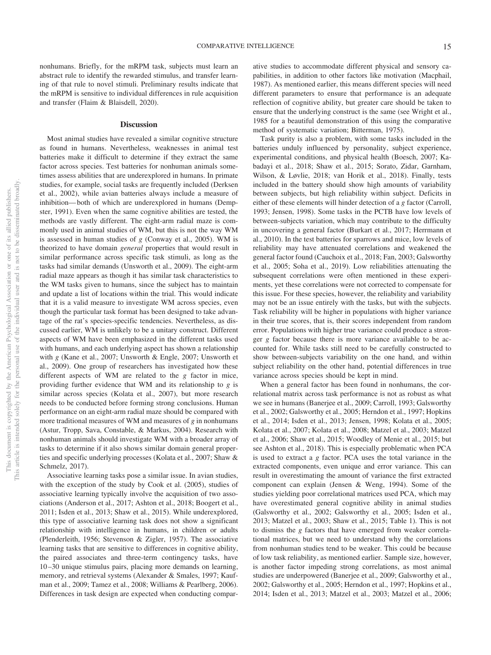nonhumans. Briefly, for the mRPM task, subjects must learn an abstract rule to identify the rewarded stimulus, and transfer learning of that rule to novel stimuli. Preliminary results indicate that the mRPM is sensitive to individual differences in rule acquisition and transfer (Flaim & Blaisdell, 2020).

#### **Discussion**

Most animal studies have revealed a similar cognitive structure as found in humans. Nevertheless, weaknesses in animal test batteries make it difficult to determine if they extract the same factor across species. Test batteries for nonhuman animals sometimes assess abilities that are underexplored in humans. In primate studies, for example, social tasks are frequently included (Derksen et al., 2002), while avian batteries always include a measure of inhibition— both of which are underexplored in humans (Dempster, 1991). Even when the same cognitive abilities are tested, the methods are vastly different. The eight-arm radial maze is commonly used in animal studies of WM, but this is not the way WM is assessed in human studies of *g* (Conway et al., 2005). WM is theorized to have domain *general* properties that would result in similar performance across specific task stimuli, as long as the tasks had similar demands (Unsworth et al., 2009). The eight-arm radial maze appears as though it has similar task characteristics to the WM tasks given to humans, since the subject has to maintain and update a list of locations within the trial. This would indicate that it is a valid measure to investigate WM across species, even though the particular task format has been designed to take advantage of the rat's species-specific tendencies. Nevertheless, as discussed earlier, WM is unlikely to be a unitary construct. Different aspects of WM have been emphasized in the different tasks used with humans, and each underlying aspect has shown a relationship with *g* (Kane et al., 2007; Unsworth & Engle, 2007; Unsworth et al., 2009). One group of researchers has investigated how these different aspects of WM are related to the *g* factor in mice, providing further evidence that WM and its relationship to *g* is similar across species (Kolata et al., 2007), but more research needs to be conducted before forming strong conclusions. Human performance on an eight-arm radial maze should be compared with more traditional measures of WM and measures of *g* in nonhumans (Astur, Tropp, Sava, Constable, & Markus, 2004). Research with nonhuman animals should investigate WM with a broader array of tasks to determine if it also shows similar domain general properties and specific underlying processes (Kolata et al., 2007; Shaw & Schmelz, 2017).

Associative learning tasks pose a similar issue. In avian studies, with the exception of the study by Cook et al. (2005), studies of associative learning typically involve the acquisition of two associations (Anderson et al., 2017; Ashton et al., 2018; Boogert et al., 2011; Isden et al., 2013; Shaw et al., 2015). While underexplored, this type of associative learning task does not show a significant relationship with intelligence in humans, in children or adults (Plenderleith, 1956; Stevenson & Zigler, 1957). The associative learning tasks that are sensitive to differences in cognitive ability, the paired associates and three-term contingency tasks, have 10 –30 unique stimulus pairs, placing more demands on learning, memory, and retrieval systems (Alexander & Smales, 1997; Kaufman et al., 2009; Tamez et al., 2008; Williams & Pearlberg, 2006). Differences in task design are expected when conducting comparative studies to accommodate different physical and sensory capabilities, in addition to other factors like motivation (Macphail, 1987). As mentioned earlier, this means different species will need different parameters to ensure that performance is an adequate reflection of cognitive ability, but greater care should be taken to ensure that the underlying construct is the same (see Wright et al., 1985 for a beautiful demonstration of this using the comparative method of systematic variation; Bitterman, 1975).

Task purity is also a problem, with some tasks included in the batteries unduly influenced by personality, subject experience, experimental conditions, and physical health (Boesch, 2007; Kabadayi et al., 2018; Shaw et al., 2015; Sorato, Zidar, Garnham, Wilson, & Løvlie, 2018; van Horik et al., 2018). Finally, tests included in the battery should show high amounts of variability between subjects, but high reliability within subject. Deficits in either of these elements will hinder detection of a *g* factor (Carroll, 1993; Jensen, 1998). Some tasks in the PCTB have low levels of between-subjects variation, which may contribute to the difficulty in uncovering a general factor (Burkart et al., 2017; Herrmann et al., 2010). In the test batteries for sparrows and mice, low levels of reliability may have attenuated correlations and weakened the general factor found (Cauchoix et al., 2018; Fan, 2003; Galsworthy et al., 2005; Soha et al., 2019). Low reliabilities attenuating the subsequent correlations were often mentioned in these experiments, yet these correlations were not corrected to compensate for this issue. For these species, however, the reliability and variability may not be an issue entirely with the tasks, but with the subjects. Task reliability will be higher in populations with higher variance in their true scores, that is, their scores independent from random error. Populations with higher true variance could produce a stronger *g* factor because there is more variance available to be accounted for. While tasks still need to be carefully constructed to show between-subjects variability on the one hand, and within subject reliability on the other hand, potential differences in true variance across species should be kept in mind.

When a general factor has been found in nonhumans, the correlational matrix across task performance is not as robust as what we see in humans (Banerjee et al., 2009; Carroll, 1993; Galsworthy et al., 2002; Galsworthy et al., 2005; Herndon et al., 1997; Hopkins et al., 2014; Isden et al., 2013; Jensen, 1998; Kolata et al., 2005; Kolata et al., 2007; Kolata et al., 2008; Matzel et al., 2003; Matzel et al., 2006; Shaw et al., 2015; Woodley of Menie et al., 2015; but see Ashton et al., 2018). This is especially problematic when PCA is used to extract a *g* factor. PCA uses the total variance in the extracted components, even unique and error variance. This can result in overestimating the amount of variance the first extracted component can explain (Jensen & Weng, 1994). Some of the studies yielding poor correlational matrices used PCA, which may have overestimated general cognitive ability in animal studies (Galsworthy et al., 2002; Galsworthy et al., 2005; Isden et al., 2013; Matzel et al., 2003; Shaw et al., 2015; Table 1). This is not to dismiss the *g* factors that have emerged from weaker correlational matrices, but we need to understand why the correlations from nonhuman studies tend to be weaker. This could be because of low task reliability, as mentioned earlier. Sample size, however, is another factor impeding strong correlations, as most animal studies are underpowered (Banerjee et al., 2009; Galsworthy et al., 2002; Galsworthy et al., 2005; Herndon et al., 1997; Hopkins et al., 2014; Isden et al., 2013; Matzel et al., 2003; Matzel et al., 2006;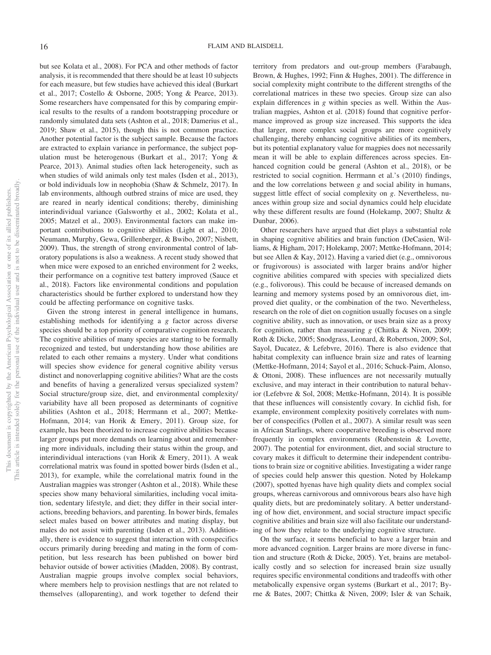but see Kolata et al., 2008). For PCA and other methods of factor analysis, it is recommended that there should be at least 10 subjects for each measure, but few studies have achieved this ideal (Burkart et al., 2017; Costello & Osborne, 2005; Yong & Pearce, 2013). Some researchers have compensated for this by comparing empirical results to the results of a random bootstrapping procedure or randomly simulated data sets (Ashton et al., 2018; Damerius et al., 2019; Shaw et al., 2015), though this is not common practice. Another potential factor is the subject sample. Because the factors are extracted to explain variance in performance, the subject population must be heterogenous (Burkart et al., 2017; Yong & Pearce, 2013). Animal studies often lack heterogeneity, such as when studies of wild animals only test males (Isden et al., 2013), or bold individuals low in neophobia (Shaw & Schmelz, 2017). In lab environments, although outbred strains of mice are used, they are reared in nearly identical conditions; thereby, diminishing interindividual variance (Galsworthy et al., 2002; Kolata et al., 2005; Matzel et al., 2003). Environmental factors can make important contributions to cognitive abilities (Light et al., 2010; Neumann, Murphy, Gewa, Grillenberger, & Bwibo, 2007; Nisbett, 2009). Thus, the strength of strong environmental control of laboratory populations is also a weakness. A recent study showed that when mice were exposed to an enriched environment for 2 weeks, their performance on a cognitive test battery improved (Sauce et al., 2018). Factors like environmental conditions and population characteristics should be further explored to understand how they could be affecting performance on cognitive tasks.

Given the strong interest in general intelligence in humans, establishing methods for identifying a *g* factor across diverse species should be a top priority of comparative cognition research. The cognitive abilities of many species are starting to be formally recognized and tested, but understanding how those abilities are related to each other remains a mystery. Under what conditions will species show evidence for general cognitive ability versus distinct and nonoverlapping cognitive abilities? What are the costs and benefits of having a generalized versus specialized system? Social structure/group size, diet, and environmental complexity/ variability have all been proposed as determinants of cognitive abilities (Ashton et al., 2018; Herrmann et al., 2007; Mettke-Hofmann, 2014; van Horik & Emery, 2011). Group size, for example, has been theorized to increase cognitive abilities because larger groups put more demands on learning about and remembering more individuals, including their status within the group, and interindividual interactions (van Horik & Emery, 2011). A weak correlational matrix was found in spotted bower birds (Isden et al., 2013), for example, while the correlational matrix found in the Australian magpies was stronger (Ashton et al., 2018). While these species show many behavioral similarities, including vocal imitation, sedentary lifestyle, and diet; they differ in their social interactions, breeding behaviors, and parenting. In bower birds, females select males based on bower attributes and mating display, but males do not assist with parenting (Isden et al., 2013). Additionally, there is evidence to suggest that interaction with conspecifics occurs primarily during breeding and mating in the form of competition, but less research has been published on bower bird behavior outside of bower activities (Madden, 2008). By contrast, Australian magpie groups involve complex social behaviors, where members help to provision nestlings that are not related to themselves (alloparenting), and work together to defend their

territory from predators and out-group members (Farabaugh, Brown, & Hughes, 1992; Finn & Hughes, 2001). The difference in social complexity might contribute to the different strengths of the correlational matrices in these two species. Group size can also explain differences in *g* within species as well. Within the Australian magpies, Ashton et al. (2018) found that cognitive performance improved as group size increased. This supports the idea that larger, more complex social groups are more cognitively challenging, thereby enhancing cognitive abilities of its members, but its potential explanatory value for magpies does not necessarily mean it will be able to explain differences across species. Enhanced cognition could be general (Ashton et al., 2018), or be restricted to social cognition. Herrmann et al.'s (2010) findings, and the low correlations between *g* and social ability in humans, suggest little effect of social complexity on *g*. Nevertheless, nuances within group size and social dynamics could help elucidate why these different results are found (Holekamp, 2007; Shultz & Dunbar, 2006).

Other researchers have argued that diet plays a substantial role in shaping cognitive abilities and brain function (DeCasien, Williams, & Higham, 2017; Holekamp, 2007; Mettke-Hofmann, 2014; but see Allen & Kay, 2012). Having a varied diet (e.g., omnivorous or frugivorous) is associated with larger brains and/or higher cognitive abilities compared with species with specialized diets (e.g., folivorous). This could be because of increased demands on learning and memory systems posed by an omnivorous diet, improved diet quality, or the combination of the two. Nevertheless, research on the role of diet on cognition usually focuses on a single cognitive ability, such as innovation, or uses brain size as a proxy for cognition, rather than measuring *g* (Chittka & Niven, 2009; Roth & Dicke, 2005; Snodgrass, Leonard, & Robertson, 2009; Sol, Sayol, Ducatez, & Lefebvre, 2016). There is also evidence that habitat complexity can influence brain size and rates of learning (Mettke-Hofmann, 2014; Sayol et al., 2016; Schuck-Paim, Alonso, & Ottoni, 2008). These influences are not necessarily mutually exclusive, and may interact in their contribution to natural behavior (Lefebvre & Sol, 2008; Mettke-Hofmann, 2014). It is possible that these influences will consistently covary. In cichlid fish, for example, environment complexity positively correlates with number of conspecifics (Pollen et al., 2007). A similar result was seen in African Starlings, where cooperative breeding is observed more frequently in complex environments (Rubenstein & Lovette, 2007). The potential for environment, diet, and social structure to covary makes it difficult to determine their independent contributions to brain size or cognitive abilities. Investigating a wider range of species could help answer this question. Noted by Holekamp (2007), spotted hyenas have high quality diets and complex social groups, whereas carnivorous and omnivorous bears also have high quality diets, but are predominately solitary. A better understanding of how diet, environment, and social structure impact specific cognitive abilities and brain size will also facilitate our understanding of how they relate to the underlying cognitive structure.

On the surface, it seems beneficial to have a larger brain and more advanced cognition. Larger brains are more diverse in function and structure (Roth & Dicke, 2005). Yet, brains are metabolically costly and so selection for increased brain size usually requires specific environmental conditions and tradeoffs with other metabolically expensive organ systems (Burkart et al., 2017; Byrne & Bates, 2007; Chittka & Niven, 2009; Isler & van Schaik,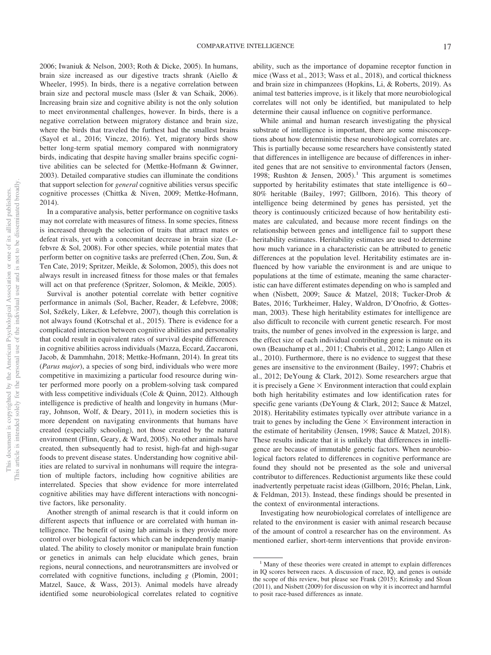2006; Iwaniuk & Nelson, 2003; Roth & Dicke, 2005). In humans, brain size increased as our digestive tracts shrank (Aiello & Wheeler, 1995). In birds, there is a negative correlation between brain size and pectoral muscle mass (Isler & van Schaik, 2006). Increasing brain size and cognitive ability is not the only solution to meet environmental challenges, however. In birds, there is a negative correlation between migratory distance and brain size, where the birds that traveled the furthest had the smallest brains (Sayol et al., 2016; Vincze, 2016). Yet, migratory birds show better long-term spatial memory compared with nonmigratory birds, indicating that despite having smaller brains specific cognitive abilities can be selected for (Mettke-Hofmann & Gwinner, 2003). Detailed comparative studies can illuminate the conditions that support selection for *general* cognitive abilities versus specific cognitive processes (Chittka & Niven, 2009; Mettke-Hofmann, 2014).

In a comparative analysis, better performance on cognitive tasks may not correlate with measures of fitness. In some species, fitness is increased through the selection of traits that attract mates or defeat rivals, yet with a concomitant decrease in brain size (Lefebvre & Sol, 2008). For other species, while potential mates that perform better on cognitive tasks are preferred (Chen, Zou, Sun, & Ten Cate, 2019; Spritzer, Meikle, & Solomon, 2005), this does not always result in increased fitness for those males or that females will act on that preference (Spritzer, Solomon, & Meikle, 2005).

Survival is another potential correlate with better cognitive performance in animals (Sol, Bacher, Reader, & Lefebvre, 2008; Sol, Székely, Liker, & Lefebvre, 2007), though this correlation is not always found (Kotrschal et al., 2015). There is evidence for a complicated interaction between cognitive abilities and personality that could result in equivalent rates of survival despite differences in cognitive abilities across individuals (Mazza, Eccard, Zaccaroni, Jacob, & Dammhahn, 2018; Mettke-Hofmann, 2014). In great tits (*Parus major*), a species of song bird, individuals who were more competitive in maximizing a particular food resource during winter performed more poorly on a problem-solving task compared with less competitive individuals (Cole & Quinn, 2012). Although intelligence is predictive of health and longevity in humans (Murray, Johnson, Wolf, & Deary, 2011), in modern societies this is more dependent on navigating environments that humans have created (especially schooling), not those created by the natural environment (Flinn, Geary, & Ward, 2005). No other animals have created, then subsequently had to resist, high-fat and high-sugar foods to prevent disease states. Understanding how cognitive abilities are related to survival in nonhumans will require the integration of multiple factors, including how cognitive abilities are interrelated. Species that show evidence for more interrelated cognitive abilities may have different interactions with noncognitive factors, like personality.

Another strength of animal research is that it could inform on different aspects that influence or are correlated with human intelligence. The benefit of using lab animals is they provide more control over biological factors which can be independently manipulated. The ability to closely monitor or manipulate brain function or genetics in animals can help elucidate which genes, brain regions, neural connections, and neurotransmitters are involved or correlated with cognitive functions, including *g* (Plomin, 2001; Matzel, Sauce, & Wass, 2013). Animal models have already identified some neurobiological correlates related to cognitive

ability, such as the importance of dopamine receptor function in mice (Wass et al., 2013; Wass et al., 2018), and cortical thickness and brain size in chimpanzees (Hopkins, Li, & Roberts, 2019). As animal test batteries improve, is it likely that more neurobiological correlates will not only be identified, but manipulated to help determine their causal influence on cognitive performance.

While animal and human research investigating the physical substrate of intelligence is important, there are some misconceptions about how deterministic these neurobiological correlates are. This is partially because some researchers have consistently stated that differences in intelligence are because of differences in inherited genes that are not sensitive to environmental factors (Jensen, 1998; Rushton & Jensen, 2005).<sup>1</sup> This argument is sometimes supported by heritability estimates that state intelligence is 60 – 80% heritable (Bailey, 1997; Gillborn, 2016). This theory of intelligence being determined by genes has persisted, yet the theory is continuously criticized because of how heritability estimates are calculated, and because more recent findings on the relationship between genes and intelligence fail to support these heritability estimates. Heritability estimates are used to determine how much variance in a characteristic can be attributed to genetic differences at the population level. Heritability estimates are influenced by how variable the environment is and are unique to populations at the time of estimate, meaning the same characteristic can have different estimates depending on who is sampled and when (Nisbett, 2009; Sauce & Matzel, 2018; Tucker-Drob & Bates, 2016; Turkheimer, Haley, Waldron, D'Onofrio, & Gottesman, 2003). These high heritability estimates for intelligence are also difficult to reconcile with current genetic research. For most traits, the number of genes involved in the expression is large, and the effect size of each individual contributing gene is minute on its own (Beauchamp et al., 2011; Chabris et al., 2012; Lango Allen et al., 2010). Furthermore, there is no evidence to suggest that these genes are insensitive to the environment (Bailey, 1997; Chabris et al., 2012; DeYoung & Clark, 2012). Some researchers argue that it is precisely a Gene  $\times$  Environment interaction that could explain both high heritability estimates and low identification rates for specific gene variants (DeYoung & Clark, 2012; Sauce & Matzel, 2018). Heritability estimates typically over attribute variance in a trait to genes by including the Gene  $\times$  Environment interaction in the estimate of heritability (Jensen, 1998; Sauce & Matzel, 2018). These results indicate that it is unlikely that differences in intelligence are because of immutable genetic factors. When neurobiological factors related to differences in cognitive performance are found they should not be presented as the sole and universal contributor to differences. Reductionist arguments like these could inadvertently perpetuate racist ideas (Gillborn, 2016; Phelan, Link, & Feldman, 2013). Instead, these findings should be presented in the context of environmental interactions.

Investigating how neurobiological correlates of intelligence are related to the environment is easier with animal research because of the amount of control a researcher has on the environment. As mentioned earlier, short-term interventions that provide environ-

 $<sup>1</sup>$  Many of these theories were created in attempt to explain differences</sup> in IQ scores between races. A discussion of race, IQ, and genes is outside the scope of this review, but please see Frank (2015); Krimsky and Sloan (2011), and Nisbett (2009) for discussion on why it is incorrect and harmful to posit race-based differences as innate.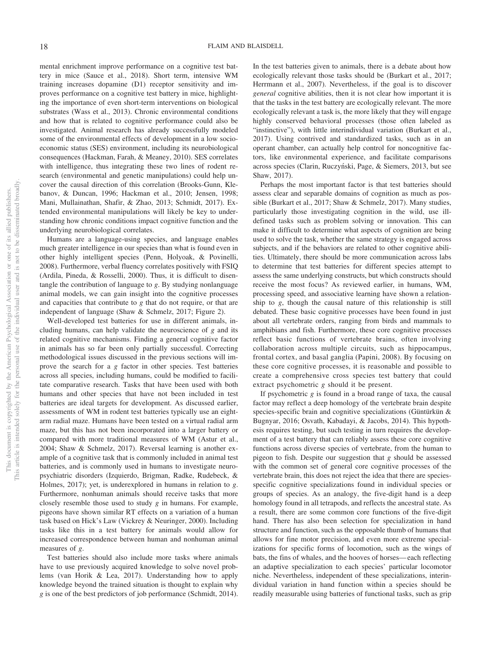mental enrichment improve performance on a cognitive test battery in mice (Sauce et al., 2018). Short term, intensive WM training increases dopamine (D1) receptor sensitivity and improves performance on a cognitive test battery in mice, highlighting the importance of even short-term interventions on biological substrates (Wass et al., 2013). Chronic environmental conditions and how that is related to cognitive performance could also be investigated. Animal research has already successfully modeled some of the environmental effects of development in a low socioeconomic status (SES) environment, including its neurobiological consequences (Hackman, Farah, & Meaney, 2010). SES correlates with intelligence, thus integrating these two lines of rodent research (environmental and genetic manipulations) could help uncover the causal direction of this correlation (Brooks-Gunn, Klebanov, & Duncan, 1996; Hackman et al., 2010; Jensen, 1998; Mani, Mullainathan, Shafir, & Zhao, 2013; Schmidt, 2017). Extended environmental manipulations will likely be key to understanding how chronic conditions impact cognitive function and the underlying neurobiological correlates.

Humans are a language-using species, and language enables much greater intelligence in our species than what is found even in other highly intelligent species (Penn, Holyoak, & Povinelli, 2008). Furthermore, verbal fluency correlates positively with FSIQ (Ardila, Pineda, & Rosselli, 2000). Thus, it is difficult to disentangle the contribution of language to *g*. By studying nonlanguage animal models, we can gain insight into the cognitive processes and capacities that contribute to *g* that do not require, or that are independent of language (Shaw & Schmelz, 2017; Figure 2).

Well-developed test batteries for use in different animals, including humans, can help validate the neuroscience of *g* and its related cognitive mechanisms. Finding a general cognitive factor in animals has so far been only partially successful. Correcting methodological issues discussed in the previous sections will improve the search for a *g* factor in other species. Test batteries across all species, including humans, could be modified to facilitate comparative research. Tasks that have been used with both humans and other species that have not been included in test batteries are ideal targets for development. As discussed earlier, assessments of WM in rodent test batteries typically use an eightarm radial maze. Humans have been tested on a virtual radial arm maze, but this has not been incorporated into a larger battery or compared with more traditional measures of WM (Astur et al., 2004; Shaw & Schmelz, 2017). Reversal learning is another example of a cognitive task that is commonly included in animal test batteries, and is commonly used in humans to investigate neuropsychiatric disorders (Izquierdo, Brigman, Radke, Rudebeck, & Holmes, 2017); yet, is underexplored in humans in relation to *g*. Furthermore, nonhuman animals should receive tasks that more closely resemble those used to study *g* in humans. For example, pigeons have shown similar RT effects on a variation of a human task based on Hick's Law (Vickrey & Neuringer, 2000). Including tasks like this in a test battery for animals would allow for increased correspondence between human and nonhuman animal measures of *g*.

Test batteries should also include more tasks where animals have to use previously acquired knowledge to solve novel problems (van Horik & Lea, 2017). Understanding how to apply knowledge beyond the trained situation is thought to explain why *g* is one of the best predictors of job performance (Schmidt, 2014). In the test batteries given to animals, there is a debate about how ecologically relevant those tasks should be (Burkart et al., 2017; Herrmann et al., 2007). Nevertheless, if the goal is to discover *general* cognitive abilities, then it is not clear how important it is that the tasks in the test battery are ecologically relevant. The more ecologically relevant a task is, the more likely that they will engage highly conserved behavioral processes (those often labeled as "instinctive"), with little interindividual variation (Burkart et al., 2017). Using contrived and standardized tasks, such as in an operant chamber, can actually help control for noncognitive factors, like environmental experience, and facilitate comparisons across species (Clarin, Ruczyński, Page, & Siemers, 2013, but see Shaw, 2017).

Perhaps the most important factor is that test batteries should assess clear and separable domains of cognition as much as possible (Burkart et al., 2017; Shaw & Schmelz, 2017). Many studies, particularly those investigating cognition in the wild, use illdefined tasks such as problem solving or innovation. This can make it difficult to determine what aspects of cognition are being used to solve the task, whether the same strategy is engaged across subjects, and if the behaviors are related to other cognitive abilities. Ultimately, there should be more communication across labs to determine that test batteries for different species attempt to assess the same underlying constructs, but which constructs should receive the most focus? As reviewed earlier, in humans, WM, processing speed, and associative learning have shown a relationship to *g*, though the causal nature of this relationship is still debated. These basic cognitive processes have been found in just about all vertebrate orders, ranging from birds and mammals to amphibians and fish. Furthermore, these core cognitive processes reflect basic functions of vertebrate brains, often involving collaboration across multiple circuits, such as hippocampus, frontal cortex, and basal ganglia (Papini, 2008). By focusing on these core cognitive processes, it is reasonable and possible to create a comprehensive cross species test battery that could extract psychometric *g* should it be present.

If psychometric *g* is found in a broad range of taxa, the causal factor may reflect a deep homology of the vertebrate brain despite species-specific brain and cognitive specializations (Güntürkün & Bugnyar, 2016; Osvath, Kabadayi, & Jacobs, 2014). This hypothesis requires testing, but such testing in turn requires the development of a test battery that can reliably assess these core cognitive functions across diverse species of vertebrate, from the human to pigeon to fish. Despite our suggestion that *g* should be assessed with the common set of general core cognitive processes of the vertebrate brain, this does not reject the idea that there are speciesspecific cognitive specializations found in individual species or groups of species. As an analogy, the five-digit hand is a deep homology found in all tetrapods, and reflects the ancestral state. As a result, there are some common core functions of the five-digit hand. There has also been selection for specialization in hand structure and function, such as the opposable thumb of humans that allows for fine motor precision, and even more extreme specializations for specific forms of locomotion, such as the wings of bats, the fins of whales, and the hooves of horses— each reflecting an adaptive specialization to each species' particular locomotor niche. Nevertheless, independent of these specializations, interindividual variation in hand function within a species should be readily measurable using batteries of functional tasks, such as grip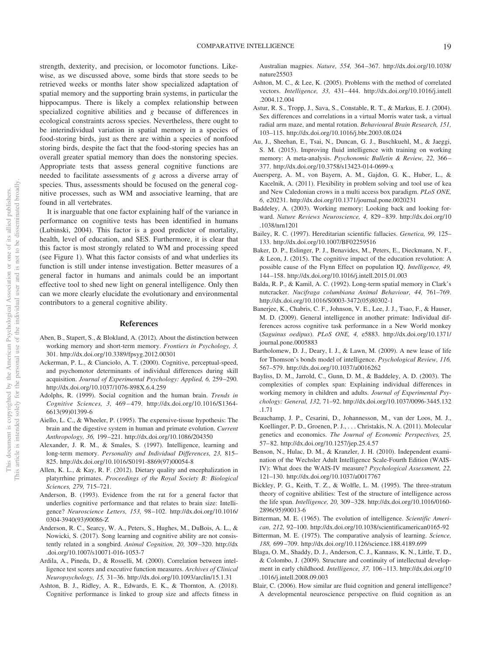strength, dexterity, and precision, or locomotor functions. Likewise, as we discussed above, some birds that store seeds to be retrieved weeks or months later show specialized adaptation of spatial memory and the supporting brain systems, in particular the hippocampus. There is likely a complex relationship between specialized cognitive abilities and *g* because of differences in ecological constraints across species. Nevertheless, there ought to be interindividual variation in spatial memory in a species of food-storing birds, just as there are within a species of nonfood storing birds, despite the fact that the food-storing species has an overall greater spatial memory than does the nonstoring species. Appropriate tests that assess general cognitive functions are needed to facilitate assessments of *g* across a diverse array of species. Thus, assessments should be focused on the general cognitive processes, such as WM and associative learning, that are found in all vertebrates.

It is inarguable that one factor explaining half of the variance in performance on cognitive tests has been identified in humans (Lubinski, 2004). This factor is a good predictor of mortality, health, level of education, and SES. Furthermore, it is clear that this factor is most strongly related to WM and processing speed (see Figure 1). What this factor consists of and what underlies its function is still under intense investigation. Better measures of a general factor in humans and animals could be an important effective tool to shed new light on general intelligence. Only then can we more clearly elucidate the evolutionary and environmental contributors to a general cognitive ability.

# **References**

- Aben, B., Stapert, S., & Blokland, A. (2012). About the distinction between working memory and short-term memory. *Frontiers in Psychology, 3,* 301. http://dx.doi.org/10.3389/fpsyg.2012.00301
- Ackerman, P. L., & Cianciolo, A. T. (2000). Cognitive, perceptual-speed, and psychomotor determinants of individual differences during skill acquisition. *Journal of Experimental Psychology: Applied, 6,* 259 –290. http://dx.doi.org/10.1037/1076-898X.6.4.259
- Adolphs, R. (1999). Social cognition and the human brain. *Trends in Cognitive Sciences, 3,* 469 – 479. http://dx.doi.org/10.1016/S1364- 6613(99)01399-6
- Aiello, L. C., & Wheeler, P. (1995). The expensive-tissue hypothesis: The brain and the digestive system in human and primate evolution. *Current Anthropology, 36,* 199 –221. http://dx.doi.org/10.1086/204350
- Alexander, J. R. M., & Smales, S. (1997). Intelligence, learning and long-term memory. *Personality and Individual Differences, 23,* 815– 825. http://dx.doi.org/10.1016/S0191-8869(97)00054-8
- Allen, K. L., & Kay, R. F. (2012). Dietary quality and encephalization in platyrrhine primates. *Proceedings of the Royal Society B: Biological Sciences, 279,* 715–721.
- Anderson, B. (1993). Evidence from the rat for a general factor that underlies cognitive performance and that relates to brain size: Intelligence? *Neuroscience Letters, 153,* 98 –102. http://dx.doi.org/10.1016/ 0304-3940(93)90086-Z
- Anderson, R. C., Searcy, W. A., Peters, S., Hughes, M., DuBois, A. L., & Nowicki, S. (2017). Song learning and cognitive ability are not consistently related in a songbird. *Animal Cognition, 20,* 309 –320. http://dx .doi.org/10.1007/s10071-016-1053-7
- Ardila, A., Pineda, D., & Rosselli, M. (2000). Correlation between intelligence test scores and executive function measures. *Archives of Clinical Neuropsychology, 15,* 31–36. http://dx.doi.org/10.1093/arclin/15.1.31
- Ashton, B. J., Ridley, A. R., Edwards, E. K., & Thornton, A. (2018). Cognitive performance is linked to group size and affects fitness in

Australian magpies. *Nature, 554,* 364 –367. http://dx.doi.org/10.1038/ nature25503

- Ashton, M. C., & Lee, K. (2005). Problems with the method of correlated vectors. *Intelligence, 33,* 431– 444. http://dx.doi.org/10.1016/j.intell .2004.12.004
- Astur, R. S., Tropp, J., Sava, S., Constable, R. T., & Markus, E. J. (2004). Sex differences and correlations in a virtual Morris water task, a virtual radial arm maze, and mental rotation. *Behavioural Brain Research, 151,* 103–115. http://dx.doi.org/10.1016/j.bbr.2003.08.024
- Au, J., Sheehan, E., Tsai, N., Duncan, G. J., Buschkuehl, M., & Jaeggi, S. M. (2015). Improving fluid intelligence with training on working memory: A meta-analysis. *Psychonomic Bulletin & Review, 22,* 366 – 377. http://dx.doi.org/10.3758/s13423-014-0699-x
- Auersperg, A. M., von Bayern, A. M., Gajdon, G. K., Huber, L., & Kacelnik, A. (2011). Flexibility in problem solving and tool use of kea and New Caledonian crows in a multi access box paradigm. *PLoS ONE, 6,* e20231. http://dx.doi.org/10.1371/journal.pone.0020231
- Baddeley, A. (2003). Working memory: Looking back and looking forward. *Nature Reviews Neuroscience, 4,* 829 – 839. http://dx.doi.org/10 .1038/nrn1201
- Bailey, R. C. (1997). Hereditarian scientific fallacies. *Genetica, 99,* 125– 133. http://dx.doi.org/10.1007/BF02259516
- Baker, D. P., Eslinger, P. J., Benavides, M., Peters, E., Dieckmann, N. F., & Leon, J. (2015). The cognitive impact of the education revolution: A possible cause of the Flynn Effect on population IQ. *Intelligence, 49,* 144 –158. http://dx.doi.org/10.1016/j.intell.2015.01.003
- Balda, R. P., & Kamil, A. C. (1992). Long-term spatial memory in Clark's nutcracker. *Nucifraga columbiana Animal Behaviour, 44,* 761–769. http://dx.doi.org/10.1016/S0003-3472(05)80302-1
- Banerjee, K., Chabris, C. F., Johnson, V. E., Lee, J. J., Tsao, F., & Hauser, M. D. (2009). General intelligence in another primate: Individual differences across cognitive task performance in a New World monkey (*Saguinus oedipus*). *PLoS ONE, 4,* e5883. http://dx.doi.org/10.1371/ journal.pone.0005883
- Bartholomew, D. J., Deary, I. J., & Lawn, M. (2009). A new lease of life for Thomson's bonds model of intelligence. *Psychological Review, 116,* 567–579. http://dx.doi.org/10.1037/a0016262
- Bayliss, D. M., Jarrold, C., Gunn, D. M., & Baddeley, A. D. (2003). The complexities of complex span: Explaining individual differences in working memory in children and adults. *Journal of Experimental Psychology: General, 132,* 71–92. http://dx.doi.org/10.1037/0096-3445.132 .1.71
- Beauchamp, J. P., Cesarini, D., Johannesson, M., van der Loos, M. J., Koellinger, P. D., Groenen, P. J.,... Christakis, N. A. (2011). Molecular genetics and economics. *The Journal of Economic Perspectives, 25,* 57– 82. http://dx.doi.org/10.1257/jep.25.4.57
- Benson, N., Hulac, D. M., & Kranzler, J. H. (2010). Independent examination of the Wechsler Adult Intelligence Scale-Fourth Edition (WAIS-IV): What does the WAIS-IV measure? *Psychological Assessment, 22,* 121–130. http://dx.doi.org/10.1037/a0017767
- Bickley, P. G., Keith, T. Z., & Wolfle, L. M. (1995). The three-stratum theory of cognitive abilities: Test of the structure of intelligence across the life span. *Intelligence, 20,* 309 –328. http://dx.doi.org/10.1016/0160- 2896(95)90013-6
- Bitterman, M. E. (1965). The evolution of intelligence. *Scientific American, 212,* 92–100. http://dx.doi.org/10.1038/scientificamerican0165-92
- Bitterman, M. E. (1975). The comparative analysis of learning. *Science, 188,* 699 –709. http://dx.doi.org/10.1126/science.188.4189.699
- Blaga, O. M., Shaddy, D. J., Anderson, C. J., Kannass, K. N., Little, T. D., & Colombo, J. (2009). Structure and continuity of intellectual development in early childhood. *Intelligence, 37,* 106 –113. http://dx.doi.org/10 .1016/j.intell.2008.09.003
- Blair, C. (2006). How similar are fluid cognition and general intelligence? A developmental neuroscience perspective on fluid cognition as an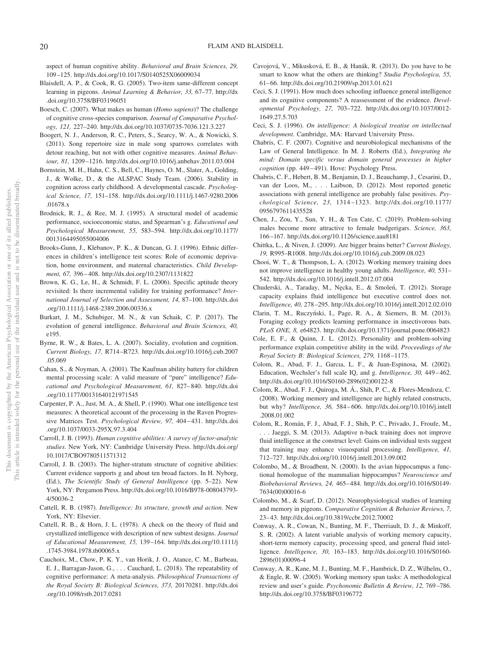aspect of human cognitive ability. *Behavioral and Brain Sciences, 29,* 109 –125. http://dx.doi.org/10.1017/S0140525X06009034

- Blaisdell, A. P., & Cook, R. G. (2005). Two-item same-different concept learning in pigeons. *Animal Learning & Behavior, 33,* 67–77. http://dx .doi.org/10.3758/BF03196051
- Boesch, C. (2007). What makes us human (*Homo sapiens*)? The challenge of cognitive cross-species comparison. *Journal of Comparative Psychology, 121,* 227–240. http://dx.doi.org/10.1037/0735-7036.121.3.227
- Boogert, N. J., Anderson, R. C., Peters, S., Searcy, W. A., & Nowicki, S. (2011). Song repertoire size in male song sparrows correlates with detour reaching, but not with other cognitive measures. *Animal Behaviour, 81,* 1209 –1216. http://dx.doi.org/10.1016/j.anbehav.2011.03.004
- Bornstein, M. H., Hahn, C. S., Bell, C., Haynes, O. M., Slater, A., Golding, J., & Wolke, D., & the ALSPAC Study Team. (2006). Stability in cognition across early childhood. A developmental cascade. *Psychological Science, 17,* 151–158. http://dx.doi.org/10.1111/j.1467-9280.2006 .01678.x
- Brodnick, R. J., & Ree, M. J. (1995). A structural model of academic performance, socioeconomic status, and Spearman's g. *Educational and Psychological Measurement, 55,* 583–594. http://dx.doi.org/10.1177/ 0013164495055004006
- Brooks-Gunn, J., Klebanov, P. K., & Duncan, G. J. (1996). Ethnic differences in children's intelligence test scores: Role of economic deprivation, home environment, and maternal characteristics. *Child Development, 67,* 396 – 408. http://dx.doi.org/10.2307/1131822
- Brown, K. G., Le, H., & Schmidt, F. L. (2006). Specific aptitude theory revisited: Is there incremental validity for training performance? *International Journal of Selection and Assessment, 14,* 87–100. http://dx.doi .org/10.1111/j.1468-2389.2006.00336.x
- Burkart, J. M., Schubiger, M. N., & van Schaik, C. P. (2017). The evolution of general intelligence. *Behavioral and Brain Sciences, 40,* e195.
- Byrne, R. W., & Bates, L. A. (2007). Sociality, evolution and cognition. *Current Biology, 17,* R714 –R723. http://dx.doi.org/10.1016/j.cub.2007 .05.069
- Cahan, S., & Noyman, A. (2001). The Kaufman ability battery for children mental processing scale: A valid measure of "pure" intelligence? *Educational and Psychological Measurement, 61,* 827– 840. http://dx.doi .org/10.1177/00131640121971545
- Carpenter, P. A., Just, M. A., & Shell, P. (1990). What one intelligence test measures: A theoretical account of the processing in the Raven Progressive Matrices Test. *Psychological Review, 97,* 404 – 431. http://dx.doi .org/10.1037/0033-295X.97.3.404
- Carroll, J. B. (1993). *Human cognitive abilities: A survey of factor-analytic studies*. New York, NY: Cambridge University Press. http://dx.doi.org/ 10.1017/CBO9780511571312
- Carroll, J. B. (2003). The higher-stratum structure of cognitive abilities: Current evidence supports g and about ten broad factors. In H. Nyborg, (Ed.), *The Scientific Study of General Intelligence* (pp. 5–22). New York, NY: Pergamon Press. http://dx.doi.org/10.1016/B978-008043793- 4/50036-2
- Cattell, R. B. (1987). *Intelligence: Its structure, growth and action*. New York, NY: Elsevier.
- Cattell, R. B., & Horn, J. L. (1978). A check on the theory of fluid and crystallized intelligence with description of new subtest designs. *Journal of Educational Measurement, 15,* 139 –164. http://dx.doi.org/10.1111/j .1745-3984.1978.tb00065.x
- Cauchoix, M., Chow, P. K. Y., van Horik, J. O., Atance, C. M., Barbeau, E. J., Barragan-Jason, G.,... Cauchard, L. (2018). The repeatability of cognitive performance: A meta-analysis. *Philosophical Transactions of the Royal Society B: Biological Sciences, 373,* 20170281. http://dx.doi .org/10.1098/rstb.2017.0281
- Cavojová, V., Mikusková, E. B., & Hanák, R. (2013). Do you have to be smart to know what the others are thinking? *Studia Psychologica, 55,* 61– 66. http://dx.doi.org/10.21909/sp.2013.01.621
- Ceci, S. J. (1991). How much does schooling influence general intelligence and its cognitive components? A reassessment of the evidence. *Developmental Psychology, 27,* 703–722. http://dx.doi.org/10.1037/0012- 1649.27.5.703
- Ceci, S. J. (1996). *On intelligence: A biological treatise on intellectual development*. Cambridge, MA: Harvard University Press.
- Chabris, C. F. (2007). Cognitive and neurobiological mechanisms of the Law of General Intelligence. In M. J. Roberts (Ed.), *Integrating the mind: Domain specific versus domain general processes in higher cognition* (pp. 449 – 491). Hove: Psychology Press.
- Chabris, C. F., Hebert, B. M., Benjamin, D. J., Beauchamp, J., Cesarini, D., van der Loos, M.,... Laibson, D. (2012). Most reported genetic associations with general intelligence are probably false positives. *Psychological Science, 23,* 1314 –1323. http://dx.doi.org/10.1177/ 0956797611435528
- Chen, J., Zou, Y., Sun, Y. H., & Ten Cate, C. (2019). Problem-solving males become more attractive to female budgerigars. *Science, 363,* 166 –167. http://dx.doi.org/10.1126/science.aau8181
- Chittka, L., & Niven, J. (2009). Are bigger brains better? *Current Biology, 19,* R995–R1008. http://dx.doi.org/10.1016/j.cub.2009.08.023
- Chooi, W. T., & Thompson, L. A. (2012). Working memory training does not improve intelligence in healthy young adults. *Intelligence, 40,* 531– 542. http://dx.doi.org/10.1016/j.intell.2012.07.004
- Chuderski, A., Taraday, M., Nęcka, E., & Smoleń, T. (2012). Storage capacity explains fluid intelligence but executive control does not. *Intelligence, 40,* 278 –295. http://dx.doi.org/10.1016/j.intell.2012.02.010
- Clarin, T. M., Ruczyński, I., Page, R. A., & Siemers, B. M. (2013). Foraging ecology predicts learning performance in insectivorous bats. *PLoS ONE, 8,* e64823. http://dx.doi.org/10.1371/journal.pone.0064823
- Cole, E. F., & Quinn, J. L. (2012). Personality and problem-solving performance explain competitive ability in the wild. *Proceedings of the Royal Society B: Biological Sciences, 279,* 1168 –1175.
- Colom, R., Abad, F. J., Garcıa, L. F., & Juan-Espinosa, M. (2002). Education, Wechsler's full scale IQ, and g. *Intelligence, 30,* 449 – 462. http://dx.doi.org/10.1016/S0160-2896(02)00122-8
- Colom, R., Abad, F. J., Quiroga, M. Á., Shih, P. C., & Flores-Mendoza, C. (2008). Working memory and intelligence are highly related constructs, but why? *Intelligence, 36,* 584 – 606. http://dx.doi.org/10.1016/j.intell .2008.01.002
- Colom, R., Román, F. J., Abad, F. J., Shih, P. C., Privado, J., Froufe, M., . . . Jaeggi, S. M. (2013). Adaptive n-back training does not improve fluid intelligence at the construct level: Gains on individual tests suggest that training may enhance visuospatial processing. *Intelligence, 41,* 712–727. http://dx.doi.org/10.1016/j.intell.2013.09.002
- Colombo, M., & Broadbent, N. (2000). Is the avian hippocampus a functional homologue of the mammalian hippocampus? *Neuroscience and Biobehavioral Reviews, 24,* 465– 484. http://dx.doi.org/10.1016/S0149- 7634(00)00016-6
- Colombo, M., & Scarf, D. (2012). Neurophysiological studies of learning and memory in pigeons. *Comparative Cognition & Behavior Reviews, 7,* 23– 43. http://dx.doi.org/10.3819/ccbr.2012.70002
- Conway, A. R., Cowan, N., Bunting, M. F., Therriault, D. J., & Minkoff, S. R. (2002). A latent variable analysis of working memory capacity, short-term memory capacity, processing speed, and general fluid intelligence. *Intelligence, 30,* 163–183. http://dx.doi.org/10.1016/S0160- 2896(01)00096-4
- Conway, A. R., Kane, M. J., Bunting, M. F., Hambrick, D. Z., Wilhelm, O., & Engle, R. W. (2005). Working memory span tasks: A methodological review and user's guide. *Psychonomic Bulletin & Review, 12,* 769 –786. http://dx.doi.org/10.3758/BF03196772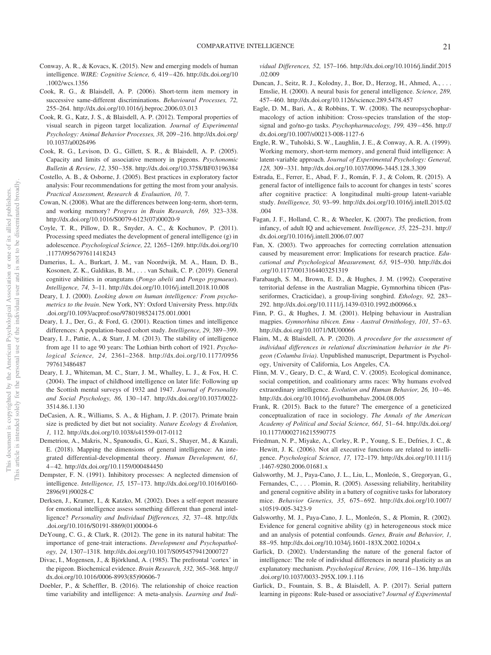- Conway, A. R., & Kovacs, K. (2015). New and emerging models of human intelligence. *WIRE: Cognitive Science, 6,* 419 – 426. http://dx.doi.org/10 .1002/wcs.1356
- Cook, R. G., & Blaisdell, A. P. (2006). Short-term item memory in successive same-different discriminations. *Behavioural Processes, 72,* 255–264. http://dx.doi.org/10.1016/j.beproc.2006.03.013
- Cook, R. G., Katz, J. S., & Blaisdell, A. P. (2012). Temporal properties of visual search in pigeon target localization. *Journal of Experimental Psychology: Animal Behavior Processes, 38,* 209 –216. http://dx.doi.org/ 10.1037/a0026496
- Cook, R. G., Levison, D. G., Gillett, S. R., & Blaisdell, A. P. (2005). Capacity and limits of associative memory in pigeons. *Psychonomic Bulletin & Review, 12,* 350 –358. http://dx.doi.org/10.3758/BF03196384
- Costello, A. B., & Osborne, J. (2005). Best practices in exploratory factor analysis: Four recommendations for getting the most from your analysis. *Practical Assessment, Research & Evaluation, 10,* 7.
- Cowan, N. (2008). What are the differences between long-term, short-term, and working memory? *Progress in Brain Research, 169,* 323–338. http://dx.doi.org/10.1016/S0079-6123(07)00020-9
- Coyle, T. R., Pillow, D. R., Snyder, A. C., & Kochunov, P. (2011). Processing speed mediates the development of general intelligence (g) in adolescence. *Psychological Science, 22,* 1265–1269. http://dx.doi.org/10 .1177/0956797611418243
- Damerius, L. A., Burkart, J. M., van Noordwijk, M. A., Haun, D. B., Kosonen, Z. K., Galdikas, B. M., . . . van Schaik, C. P. (2019). General cognitive abilities in orangutans (*Pongo abelii* and *Pongo pygmaeus*). *Intelligence, 74,* 3–11. http://dx.doi.org/10.1016/j.intell.2018.10.008
- Deary, I. J. (2000). *Looking down on human intelligence: From psychometrics to the brain*. New York, NY: Oxford University Press. http://dx .doi.org/10.1093/acprof:oso/9780198524175.001.0001
- Deary, I. J., Der, G., & Ford, G. (2001). Reaction times and intelligence differences: A population-based cohort study. *Intelligence, 29,* 389 –399.
- Deary, I. J., Pattie, A., & Starr, J. M. (2013). The stability of intelligence from age 11 to age 90 years: The Lothian birth cohort of 1921. *Psychological Science, 24,* 2361–2368. http://dx.doi.org/10.1177/0956 797613486487
- Deary, I. J., Whiteman, M. C., Starr, J. M., Whalley, L. J., & Fox, H. C. (2004). The impact of childhood intelligence on later life: Following up the Scottish mental surveys of 1932 and 1947. *Journal of Personality and Social Psychology, 86,* 130 –147. http://dx.doi.org/10.1037/0022- 3514.86.1.130
- DeCasien, A. R., Williams, S. A., & Higham, J. P. (2017). Primate brain size is predicted by diet but not sociality. *Nature Ecology & Evolution, 1,* 112. http://dx.doi.org/10.1038/s41559-017-0112
- Demetriou, A., Makris, N., Spanoudis, G., Kazi, S., Shayer, M., & Kazali, E. (2018). Mapping the dimensions of general intelligence: An integrated differential-developmental theory. *Human Development, 61,* 4 – 42. http://dx.doi.org/10.1159/000484450
- Dempster, F. N. (1991). Inhibitory processes: A neglected dimension of intelligence. *Intelligence, 15,* 157–173. http://dx.doi.org/10.1016/0160- 2896(91)90028-C
- Derksen, J., Kramer, I., & Katzko, M. (2002). Does a self-report measure for emotional intelligence assess something different than general intelligence? *Personality and Individual Differences, 32, 37-48. http://dx* .doi.org/10.1016/S0191-8869(01)00004-6
- DeYoung, C. G., & Clark, R. (2012). The gene in its natural habitat: The importance of gene-trait interactions. *Development and Psychopathology, 24,* 1307–1318. http://dx.doi.org/10.1017/S0954579412000727
- Divac, I., Mogensen, J., & Björklund, A. (1985). The prefrontal 'cortex' in the pigeon. Biochemical evidence. *Brain Research, 332,* 365–368. http:// dx.doi.org/10.1016/0006-8993(85)90606-7
- Doebler, P., & Scheffler, B. (2016). The relationship of choice reaction time variability and intelligence: A meta-analysis. *Learning and Indi-*

*vidual Differences, 52,* 157–166. http://dx.doi.org/10.1016/j.lindif.2015 .02.009

- Duncan, J., Seitz, R. J., Kolodny, J., Bor, D., Herzog, H., Ahmed, A., ... Emslie, H. (2000). A neural basis for general intelligence. *Science, 289,* 457– 460. http://dx.doi.org/10.1126/science.289.5478.457
- Eagle, D. M., Bari, A., & Robbins, T. W. (2008). The neuropsychopharmacology of action inhibition: Cross-species translation of the stopsignal and go/no-go tasks. *Psychopharmacology, 199,* 439 – 456. http:// dx.doi.org/10.1007/s00213-008-1127-6
- Engle, R. W., Tuholski, S. W., Laughlin, J. E., & Conway, A. R. A. (1999). Working memory, short-term memory, and general fluid intelligence: A latent-variable approach. *Journal of Experimental Psychology: General, 128,* 309 –331. http://dx.doi.org/10.1037/0096-3445.128.3.309
- Estrada, E., Ferrer, E., Abad, F. J., Román, F. J., & Colom, R. (2015). A general factor of intelligence fails to account for changes in tests' scores after cognitive practice: A longitudinal multi-group latent-variable study. *Intelligence, 50,* 93–99. http://dx.doi.org/10.1016/j.intell.2015.02 .004
- Fagan, J. F., Holland, C. R., & Wheeler, K. (2007). The prediction, from infancy, of adult IQ and achievement. *Intelligence, 35,* 225–231. http:// dx.doi.org/10.1016/j.intell.2006.07.007
- Fan, X. (2003). Two approaches for correcting correlation attenuation caused by measurement error: Implications for research practice. *Educational and Psychological Measurement, 63,* 915–930. http://dx.doi .org/10.1177/0013164403251319
- Farabaugh, S. M., Brown, E. D., & Hughes, J. M. (1992). Cooperative territorial defense in the Australian Magpie, Gymnorhina tibicen (Passeriformes, Cracticidae), a group-living songbird. *Ethology, 92,* 283– 292. http://dx.doi.org/10.1111/j.1439-0310.1992.tb00966.x
- Finn, P. G., & Hughes, J. M. (2001). Helping behaviour in Australian magpies. *Gymnorhina tibicen. Emu - Austral Ornithology, 101, 57-63*. http://dx.doi.org/10.1071/MU00066
- Flaim, M., & Blaisdell, A. P. (2020). *A procedure for the assessment of individual differences in relational discrimination behavior in the Pigeon (Columba livia)*. Unpublished manuscript, Department is Psychology, University of California, Los Angeles, CA.
- Flinn, M. V., Geary, D. C., & Ward, C. V. (2005). Ecological dominance, social competition, and coalitionary arms races: Why humans evolved extraordinary intelligence. *Evolution and Human Behavior*, 26, 10-46. http://dx.doi.org/10.1016/j.evolhumbehav.2004.08.005
- Frank, R. (2015). Back to the future? The emergence of a geneticized conceptualization of race in sociology. *The Annals of the American* Academy of Political and Social Science, 661, 51-64. http://dx.doi.org/ 10.1177/0002716215590775
- Friedman, N. P., Miyake, A., Corley, R. P., Young, S. E., Defries, J. C., & Hewitt, J. K. (2006). Not all executive functions are related to intelligence. *Psychological Science, 17,* 172–179. http://dx.doi.org/10.1111/j .1467-9280.2006.01681.x
- Galsworthy, M. J., Paya-Cano, J. L., Liu, L., Monleón, S., Gregoryan, G., Fernandes, C., . . . Plomin, R. (2005). Assessing reliability, heritability and general cognitive ability in a battery of cognitive tasks for laboratory mice. *Behavior Genetics, 35,* 675– 692. http://dx.doi.org/10.1007/ s10519-005-3423-9
- Galsworthy, M. J., Paya-Cano, J. L., Monleón, S., & Plomin, R. (2002). Evidence for general cognitive ability (g) in heterogeneous stock mice and an analysis of potential confounds. *Genes, Brain and Behavior, 1,* 88 –95. http://dx.doi.org/10.1034/j.1601-183X.2002.10204.x
- Garlick, D. (2002). Understanding the nature of the general factor of intelligence: The role of individual differences in neural plasticity as an explanatory mechanism. *Psychological Review, 109,* 116 –136. http://dx .doi.org/10.1037/0033-295X.109.1.116
- Garlick, D., Fountain, S. B., & Blaisdell, A. P. (2017). Serial pattern learning in pigeons: Rule-based or associative? *Journal of Experimental*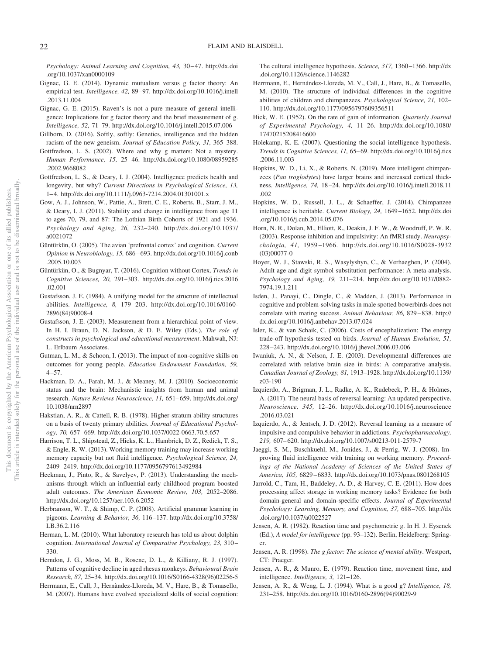Psychology: Animal Learning and Cognition, 43, 30–47. http://dx.doi .org/10.1037/xan0000109

- Gignac, G. E. (2014). Dynamic mutualism versus g factor theory: An empirical test. *Intelligence, 42,* 89 –97. http://dx.doi.org/10.1016/j.intell .2013.11.004
- Gignac, G. E. (2015). Raven's is not a pure measure of general intelligence: Implications for g factor theory and the brief measurement of g. *Intelligence, 52,* 71–79. http://dx.doi.org/10.1016/j.intell.2015.07.006
- Gillborn, D. (2016). Softly, softly: Genetics, intelligence and the hidden racism of the new geneism. *Journal of Education Policy, 31,* 365–388.
- Gottfredson, L. S. (2002). Where and why g matters: Not a mystery. *Human Performance, 15,* 25– 46. http://dx.doi.org/10.1080/08959285 .2002.9668082
- Gottfredson, L. S., & Deary, I. J. (2004). Intelligence predicts health and longevity, but why? *Current Directions in Psychological Science, 13,* 1– 4. http://dx.doi.org/10.1111/j.0963-7214.2004.01301001.x
- Gow, A. J., Johnson, W., Pattie, A., Brett, C. E., Roberts, B., Starr, J. M., & Deary, I. J. (2011). Stability and change in intelligence from age 11 to ages 70, 79, and 87: The Lothian Birth Cohorts of 1921 and 1936. *Psychology and Aging, 26,* 232–240. http://dx.doi.org/10.1037/ a0021072
- Güntürkün, O. (2005). The avian 'prefrontal cortex' and cognition. *Current Opinion in Neurobiology, 15,* 686 – 693. http://dx.doi.org/10.1016/j.conb .2005.10.003
- Güntürkün, O., & Bugnyar, T. (2016). Cognition without Cortex. *Trends in Cognitive Sciences, 20,* 291–303. http://dx.doi.org/10.1016/j.tics.2016 .02.001
- Gustafsson, J. E. (1984). A unifying model for the structure of intellectual abilities. *Intelligence, 8,* 179 –203. http://dx.doi.org/10.1016/0160- 2896(84)90008-4
- Gustafsson, J. E. (2003). Measurement from a hierarchical point of view. In H. I. Braun, D. N. Jackson, & D. E. Wiley (Eds.), *The role of constructs in psychological and educational measurement*. Mahwah, NJ: L. Erlbaum Associates.
- Gutman, L. M., & Schoon, I. (2013). The impact of non-cognitive skills on outcomes for young people. *Education Endowment Foundation, 59,*  $4 - 57$ .
- Hackman, D. A., Farah, M. J., & Meaney, M. J. (2010). Socioeconomic status and the brain: Mechanistic insights from human and animal research. *Nature Reviews Neuroscience, 11,* 651– 659. http://dx.doi.org/ 10.1038/nrn2897
- Hakstian, A. R., & Cattell, R. B. (1978). Higher-stratum ability structures on a basis of twenty primary abilities. *Journal of Educational Psychology, 70,* 657– 669. http://dx.doi.org/10.1037/0022-0663.70.5.657
- Harrison, T. L., Shipstead, Z., Hicks, K. L., Hambrick, D. Z., Redick, T. S., & Engle, R. W. (2013). Working memory training may increase working memory capacity but not fluid intelligence. *Psychological Science, 24,* 2409 –2419. http://dx.doi.org/10.1177/0956797613492984
- Heckman, J., Pinto, R., & Savelyev, P. (2013). Understanding the mechanisms through which an influential early childhood program boosted adult outcomes. *The American Economic Review, 103,* 2052–2086. http://dx.doi.org/10.1257/aer.103.6.2052
- Herbranson, W. T., & Shimp, C. P. (2008). Artificial grammar learning in pigeons. *Learning & Behavior, 36,* 116 –137. http://dx.doi.org/10.3758/ LB.36.2.116
- Herman, L. M. (2010). What laboratory research has told us about dolphin cognition. *International Journal of Comparative Psychology, 23,* 310 – 330.
- Herndon, J. G., Moss, M. B., Rosene, D. L., & Killiany, R. J. (1997). Patterns of cognitive decline in aged rhesus monkeys. *Behavioural Brain Research, 87,* 25–34. http://dx.doi.org/10.1016/S0166-4328(96)02256-5
- Herrmann, E., Call, J., Hernàndez-Lloreda, M. V., Hare, B., & Tomasello, M. (2007). Humans have evolved specialized skills of social cognition:

The cultural intelligence hypothesis. *Science, 317,* 1360 –1366. http://dx .doi.org/10.1126/science.1146282

- Herrmann, E., Hernández-Lloreda, M. V., Call, J., Hare, B., & Tomasello, M. (2010). The structure of individual differences in the cognitive abilities of children and chimpanzees. *Psychological Science, 21,* 102– 110. http://dx.doi.org/10.1177/0956797609356511
- Hick, W. E. (1952). On the rate of gain of information. *Quarterly Journal of Experimental Psychology, 4,* 11–26. http://dx.doi.org/10.1080/ 17470215208416600
- Holekamp, K. E. (2007). Questioning the social intelligence hypothesis. *Trends in Cognitive Sciences, 11,* 65– 69. http://dx.doi.org/10.1016/j.tics .2006.11.003
- Hopkins, W. D., Li, X., & Roberts, N. (2019). More intelligent chimpanzees (*Pan troglodytes*) have larger brains and increased cortical thickness. *Intelligence, 74,* 18 –24. http://dx.doi.org/10.1016/j.intell.2018.11 .002
- Hopkins, W. D., Russell, J. L., & Schaeffer, J. (2014). Chimpanzee intelligence is heritable. *Current Biology, 24,* 1649 –1652. http://dx.doi .org/10.1016/j.cub.2014.05.076
- Horn, N. R., Dolan, M., Elliott, R., Deakin, J. F. W., & Woodruff, P. W. R. (2003). Response inhibition and impulsivity: An fMRI study. *Neuropsychologia, 41,* 1959 –1966. http://dx.doi.org/10.1016/S0028-3932 (03)00077-0
- Hoyer, W. J., Stawski, R. S., Wasylyshyn, C., & Verhaeghen, P. (2004). Adult age and digit symbol substitution performance: A meta-analysis. *Psychology and Aging, 19,* 211–214. http://dx.doi.org/10.1037/0882- 7974.19.1.211
- Isden, J., Panayi, C., Dingle, C., & Madden, J. (2013). Performance in cognitive and problem-solving tasks in male spotted bowerbirds does not correlate with mating success. *Animal Behaviour, 86,* 829 – 838. http:// dx.doi.org/10.1016/j.anbehav.2013.07.024
- Isler, K., & van Schaik, C. (2006). Costs of encephalization: The energy trade-off hypothesis tested on birds. *Journal of Human Evolution, 51,* 228 –243. http://dx.doi.org/10.1016/j.jhevol.2006.03.006
- Iwaniuk, A. N., & Nelson, J. E. (2003). Developmental differences are correlated with relative brain size in birds: A comparative analysis. *Canadian Journal of Zoology, 81,* 1913–1928. http://dx.doi.org/10.1139/ z03-190
- Izquierdo, A., Brigman, J. L., Radke, A. K., Rudebeck, P. H., & Holmes, A. (2017). The neural basis of reversal learning: An updated perspective. *Neuroscience, 345,* 12–26. http://dx.doi.org/10.1016/j.neuroscience .2016.03.021
- Izquierdo, A., & Jentsch, J. D. (2012). Reversal learning as a measure of impulsive and compulsive behavior in addictions. *Psychopharmacology, 219,* 607– 620. http://dx.doi.org/10.1007/s00213-011-2579-7
- Jaeggi, S. M., Buschkuehl, M., Jonides, J., & Perrig, W. J. (2008). Improving fluid intelligence with training on working memory. *Proceedings of the National Academy of Sciences of the United States of America, 105,* 6829 – 6833. http://dx.doi.org/10.1073/pnas.0801268105
- Jarrold, C., Tam, H., Baddeley, A. D., & Harvey, C. E. (2011). How does processing affect storage in working memory tasks? Evidence for both domain-general and domain-specific effects. *Journal of Experimental Psychology: Learning, Memory, and Cognition, 37,* 688 –705. http://dx .doi.org/10.1037/a0022527
- Jensen, A. R. (1982). Reaction time and psychometric g. In H. J. Eysenck (Ed.), *A model for intelligence* (pp. 93–132). Berlin, Heidelberg: Springer.
- Jensen, A. R. (1998). *The g factor: The science of mental ability*. Westport, CT: Praeger.
- Jensen, A. R., & Munro, E. (1979). Reaction time, movement time, and intelligence. *Intelligence, 3,* 121–126.
- Jensen, A. R., & Weng, L. J. (1994). What is a good g? *Intelligence, 18,* 231–258. http://dx.doi.org/10.1016/0160-2896(94)90029-9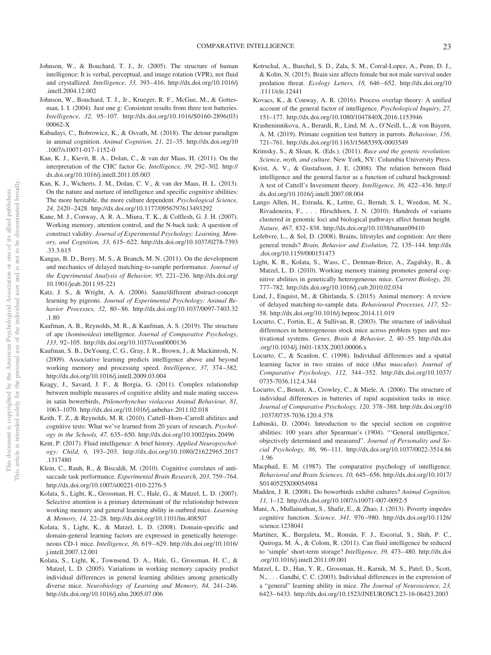- Johnson, W., & Bouchard, T. J., Jr. (2005). The structure of human intelligence: It is verbal, perceptual, and image rotation (VPR), not fluid and crystallized. *Intelligence, 33,* 393– 416. http://dx.doi.org/10.1016/j .intell.2004.12.002
- Johnson, W., Bouchard, T. J., Jr., Krueger, R. F., McGue, M., & Gottesman, I. I. (2004). Just one g: Consistent results from three test batteries. *Intelligence, 32,* 95–107. http://dx.doi.org/10.1016/S0160-2896(03) 00062-X
- Kabadayi, C., Bobrowicz, K., & Osvath, M. (2018). The detour paradigm in animal cognition. *Animal Cognition, 21,* 21–35. http://dx.doi.org/10 .1007/s10071-017-1152-0
- Kan, K. J., Kievit, R. A., Dolan, C., & van der Maas, H. (2011). On the interpretation of the CHC factor Gc. *Intelligence, 39,* 292–302. http:// dx.doi.org/10.1016/j.intell.2011.05.003
- Kan, K. J., Wicherts, J. M., Dolan, C. V., & van der Maas, H. L. (2013). On the nature and nurture of intelligence and specific cognitive abilities: The more heritable, the more culture dependent. *Psychological Science, 24,* 2420 –2428. http://dx.doi.org/10.1177/0956797613493292
- Kane, M. J., Conway, A. R. A., Miura, T. K., & Colflesh, G. J. H. (2007). Working memory, attention control, and the N-back task: A question of construct validity. *Journal of Experimental Psychology: Learning, Memory, and Cognition, 33,* 615– 622. http://dx.doi.org/10.1037/0278-7393 .33.3.615
- Kangas, B. D., Berry, M. S., & Branch, M. N. (2011). On the development and mechanics of delayed matching-to-sample performance. *Journal of the Experimental Analysis of Behavior, 95,* 221–236. http://dx.doi.org/ 10.1901/jeab.2011.95-221
- Katz, J. S., & Wright, A. A. (2006). Same/different abstract-concept learning by pigeons. *Journal of Experimental Psychology: Animal Behavior Processes, 32,* 80 – 86. http://dx.doi.org/10.1037/0097-7403.32 .1.80
- Kaufman, A. B., Reynolds, M. R., & Kaufman, A. S. (2019). The structure of ape (*hominoidea*) intelligence. *Journal of Comparative Psychology, 133,* 92–105. http://dx.doi.org/10.1037/com0000136
- Kaufman, S. B., DeYoung, C. G., Gray, J. R., Brown, J., & Mackintosh, N. (2009). Associative learning predicts intelligence above and beyond working memory and processing speed. *Intelligence, 37,* 374 –382. http://dx.doi.org/10.1016/j.intell.2009.03.004
- Keagy, J., Savard, J. F., & Borgia, G. (2011). Complex relationship between multiple measures of cognitive ability and male mating success in satin bowerbirds, *Ptilonorhynchus violaceus Animal Behaviour, 81,* 1063–1070. http://dx.doi.org/10.1016/j.anbehav.2011.02.018
- Keith, T. Z., & Reynolds, M. R. (2010). Cattell–Horn–Carroll abilities and cognitive tests: What we've learned from 20 years of research. *Psychology in the Schools, 47,* 635– 650. http://dx.doi.org/10.1002/pits.20496
- Kent, P. (2017). Fluid intelligence: A brief history. *Applied Neuropsychology: Child, 6,* 193–203. http://dx.doi.org/10.1080/21622965.2017 .1317480
- Klein, C., Rauh, R., & Biscaldi, M. (2010). Cognitive correlates of antisaccade task performance. *Experimental Brain Research, 203,* 759 –764. http://dx.doi.org/10.1007/s00221-010-2276-5
- Kolata, S., Light, K., Grossman, H. C., Hale, G., & Matzel, L. D. (2007). Selective attention is a primary determinant of the relationship between working memory and general learning ability in outbred mice. *Learning & Memory, 14,* 22–28. http://dx.doi.org/10.1101/lm.408507
- Kolata, S., Light, K., & Matzel, L. D. (2008). Domain-specific and domain-general learning factors are expressed in genetically heterogeneous CD-1 mice. *Intelligence, 36,* 619 – 629. http://dx.doi.org/10.1016/ j.intell.2007.12.001
- Kolata, S., Light, K., Townsend, D. A., Hale, G., Grossman, H. C., & Matzel, L. D. (2005). Variations in working memory capacity predict individual differences in general learning abilities among genetically diverse mice. *Neurobiology of Learning and Memory, 84,* 241–246. http://dx.doi.org/10.1016/j.nlm.2005.07.006
- Kotrschal, A., Buechel, S. D., Zala, S. M., Corral-Lopez, A., Penn, D. J., & Kolm, N. (2015). Brain size affects female but not male survival under predation threat. *Ecology Letters, 18,* 646 – 652. http://dx.doi.org/10 .1111/ele.12441
- Kovacs, K., & Conway, A. R. (2016). Process overlap theory: A unified account of the general factor of intelligence. *Psychological Inquiry, 27,* 151–177. http://dx.doi.org/10.1080/1047840X.2016.1153946
- Krasheninnikova, A., Berardi, R., Lind, M. A., O'Neill, L., & von Bayern, A. M. (2019). Primate cognition test battery in parrots. *Behaviour, 156,* 721–761. http://dx.doi.org/10.1163/1568539X-0003549
- Krimsky, S., & Sloan, K. (Eds.). (2011). *Race and the genetic revolution: Science, myth, and culture*. New York, NY: Columbia University Press.
- Kvist, A. V., & Gustafsson, J. E. (2008). The relation between fluid intelligence and the general factor as a function of cultural background: A test of Cattell's Investment theory. *Intelligence, 36,* 422– 436. http:// dx.doi.org/10.1016/j.intell.2007.08.004
- Lango Allen, H., Estrada, K., Lettre, G., Berndt, S. I., Weedon, M. N., Rivadeneira, F.,... Hirschhorn, J. N. (2010). Hundreds of variants clustered in genomic loci and biological pathways affect human height. *Nature, 467,* 832– 838. http://dx.doi.org/10.1038/nature09410
- Lefebvre, L., & Sol, D. (2008). Brains, lifestyles and cognition: Are there general trends? *Brain, Behavior and Evolution, 72,* 135–144. http://dx .doi.org/10.1159/000151473
- Light, K. R., Kolata, S., Wass, C., Denman-Brice, A., Zagalsky, R., & Matzel, L. D. (2010). Working memory training promotes general cognitive abilities in genetically heterogeneous mice. *Current Biology, 20,* 777–782. http://dx.doi.org/10.1016/j.cub.2010.02.034
- Lind, J., Enquist, M., & Ghirlanda, S. (2015). Animal memory: A review of delayed matching-to-sample data. *Behavioural Processes, 117,* 52– 58. http://dx.doi.org/10.1016/j.beproc.2014.11.019
- Locurto, C., Fortin, E., & Sullivan, R. (2003). The structure of individual differences in heterogeneous stock mice across problem types and motivational systems. *Genes, Brain & Behavior*, 2, 40-55. http://dx.doi .org/10.1034/j.1601-183X.2003.00006.x
- Locurto, C., & Scanlon, C. (1998). Individual differences and a spatial learning factor in two strains of mice (*Mus musculus*). *Journal of Comparative Psychology, 112,* 344 –352. http://dx.doi.org/10.1037/ 0735-7036.112.4.344
- Locurto, C., Benoit, A., Crowley, C., & Miele, A. (2006). The structure of individual differences in batteries of rapid acquisition tasks in mice. *Journal of Comparative Psychology, 120,* 378 –388. http://dx.doi.org/10 .1037/0735-7036.120.4.378
- Lubinski, D. (2004). Introduction to the special section on cognitive abilities: 100 years after Spearman's (1904). "'General intelligence,' objectively determined and measured". *Journal of Personality and Social Psychology, 86,* 96 –111. http://dx.doi.org/10.1037/0022-3514.86 .1.96
- Macphail, E. M. (1987). The comparative psychology of intelligence. *Behavioral and Brain Sciences, 10,* 645– 656. http://dx.doi.org/10.1017/ S0140525X00054984
- Madden, J. R. (2008). Do bowerbirds exhibit cultures? *Animal Cognition, 11,* 1–12. http://dx.doi.org/10.1007/s10071-007-0092-5
- Mani, A., Mullainathan, S., Shafir, E., & Zhao, J. (2013). Poverty impedes cognitive function. *Science, 341,* 976 –980. http://dx.doi.org/10.1126/ science.1238041
- Martínez, K., Burgaleta, M., Román, F. J., Escorial, S., Shih, P. C., Quiroga, M. Á., & Colom, R. (2011). Can fluid intelligence be reduced to 'simple' short-term storage? *Intelligence, 39,* 473– 480. http://dx.doi .org/10.1016/j.intell.2011.09.001
- Matzel, L. D., Han, Y. R., Grossman, H., Karnik, M. S., Patel, D., Scott, N., . . . Gandhi, C. C. (2003). Individual differences in the expression of a "general" learning ability in mice. *The Journal of Neuroscience, 23,* 6423– 6433. http://dx.doi.org/10.1523/JNEUROSCI.23-16-06423.2003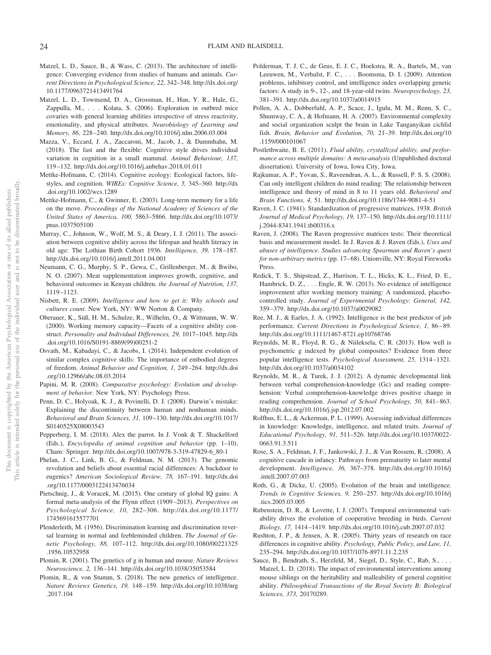- Matzel, L. D., Sauce, B., & Wass, C. (2013). The architecture of intelligence: Converging evidence from studies of humans and animals. *Current Directions in Psychological Science, 22,* 342–348. http://dx.doi.org/ 10.1177/0963721413491764
- Matzel, L. D., Townsend, D. A., Grossman, H., Han, Y. R., Hale, G., Zappulla, M.,... Kolata, S. (2006). Exploration in outbred mice covaries with general learning abilities irrespective of stress reactivity, emotionality, and physical attributes. *Neurobiology of Learning and Memory, 86,* 228 –240. http://dx.doi.org/10.1016/j.nlm.2006.03.004
- Mazza, V., Eccard, J. A., Zaccaroni, M., Jacob, J., & Dammhahn, M. (2018). The fast and the flexible: Cognitive style drives individual variation in cognition in a small mammal. *Animal Behaviour, 137,* 119 –132. http://dx.doi.org/10.1016/j.anbehav.2018.01.011
- Mettke-Hofmann, C. (2014). Cognitive ecology: Ecological factors, lifestyles, and cognition. *WIREs: Cognitive Science, 5,* 345–360. http://dx .doi.org/10.1002/wcs.1289
- Mettke-Hofmann, C., & Gwinner, E. (2003). Long-term memory for a life on the move. *Proceedings of the National Academy of Sciences of the United States of America, 100,* 5863–5866. http://dx.doi.org/10.1073/ pnas.1037505100
- Murray, C., Johnson, W., Wolf, M. S., & Deary, I. J. (2011). The association between cognitive ability across the lifespan and health literacy in old age: The Lothian Birth Cohort 1936. *Intelligence, 39,* 178 –187. http://dx.doi.org/10.1016/j.intell.2011.04.001
- Neumann, C. G., Murphy, S. P., Gewa, C., Grillenberger, M., & Bwibo, N. O. (2007). Meat supplementation improves growth, cognitive, and behavioral outcomes in Kenyan children. *the Journal of Nutrition, 137,* 1119 –1123.
- Nisbett, R. E. (2009). *Intelligence and how to get it: Why schools and cultures count*. New York, NY: WW Norton & Company.
- Oberauer, K., Süß, H. M., Schulze, R., Wilhelm, O., & Wittmann, W. W. (2000). Working memory capacity—Facets of a cognitive ability construct. *Personality and Individual Differences, 29,* 1017–1045. http://dx .doi.org/10.1016/S0191-8869(99)00251-2
- Osvath, M., Kabadayi, C., & Jacobs, I. (2014). Independent evolution of similar complex cognitive skills: The importance of embodied degrees of freedom. *Animal Behavior and Cognition, 1,* 249 –264. http://dx.doi .org/10.12966/abc.08.03.2014
- Papini, M. R. (2008). *Comparative psychology: Evolution and development of behavior*. New York, NY: Psychology Press.
- Penn, D. C., Holyoak, K. J., & Povinelli, D. J. (2008). Darwin's mistake: Explaining the discontinuity between human and nonhuman minds. *Behavioral and Brain Sciences, 31,* 109 –130. http://dx.doi.org/10.1017/ S0140525X08003543
- Pepperberg, I. M. (2018). Alex the parrot. In J. Vonk & T. Shackelford (Eds.), *Encyclopedia of animal cognition and behavior* (pp. 1–10). Cham: Springer. http://dx.doi.org/10.1007/978-3-319-47829-6\_80-1
- Phelan, J. C., Link, B. G., & Feldman, N. M. (2013). The genomic revolution and beliefs about essential racial differences: A backdoor to eugenics? *American Sociological Review, 78,* 167–191. http://dx.doi .org/10.1177/0003122413476034
- Pietschnig, J., & Voracek, M. (2015). One century of global IQ gains: A formal meta-analysis of the Flynn effect (1909 –2013). *Perspectives on Psychological Science, 10,* 282–306. http://dx.doi.org/10.1177/ 1745691615577701
- Plenderleith, M. (1956). Discrimination learning and discrimination reversal learning in normal and feebleminded children. *The Journal of Genetic Psychology, 88,* 107–112. http://dx.doi.org/10.1080/00221325 .1956.10532958
- Plomin, R. (2001). The genetics of g in human and mouse. *Nature Reviews Neuroscience, 2,* 136 –141. http://dx.doi.org/10.1038/35053584
- Plomin, R., & von Stumm, S. (2018). The new genetics of intelligence. *Nature Reviews Genetics, 19,* 148 –159. http://dx.doi.org/10.1038/nrg .2017.104
- Polderman, T. J. C., de Geus, E. J. C., Hoekstra, R. A., Bartels, M., van Leeuwen, M., Verhulst, F. C.,... Boomsma, D. I. (2009). Attention problems, inhibitory control, and intelligence index overlapping genetic factors: A study in 9-, 12-, and 18-year-old twins. *Neuropsychology, 23,* 381–391. http://dx.doi.org/10.1037/a0014915
- Pollen, A. A., Dobberfuhl, A. P., Scace, J., Igulu, M. M., Renn, S. C., Shumway, C. A., & Hofmann, H. A. (2007). Environmental complexity and social organization sculpt the brain in Lake Tanganyikan cichlid fish. *Brain, Behavior and Evolution, 70,* 21–39. http://dx.doi.org/10 .1159/000101067
- Postlethwaite, B. E. (2011). *Fluid ability, crystallized ability, and performance across multiple domains: A meta-analysis* (Unpublished doctoral dissertation). University of Iowa, Iowa City, Iowa.
- Rajkumar, A. P., Yovan, S., Raveendran, A. L., & Russell, P. S. S. (2008). Can only intelligent children do mind reading: The relationship between intelligence and theory of mind in 8 to 11 years old. *Behavioral and Brain Functions, 4,* 51. http://dx.doi.org/10.1186/1744-9081-4-51
- Raven, J. C. (1941). Standardization of progressive matrices, 1938. *British Journal of Medical Psychology, 19,* 137–150. http://dx.doi.org/10.1111/ j.2044-8341.1941.tb00316.x
- Raven, J. (2008). The Raven progressive matrices tests: Their theoretical basis and measurement model. In J. Raven & J. Raven (Eds.), *Uses and abuses of intelligence. Studies advancing Spearman and Raven's quest for non-arbitrary metrics* (pp. 17– 68). Unionville, NY: Royal Fireworks Press.
- Redick, T. S., Shipstead, Z., Harrison, T. L., Hicks, K. L., Fried, D. E., Hambrick, D. Z.,... Engle, R. W. (2013). No evidence of intelligence improvement after working memory training: A randomized, placebocontrolled study. *Journal of Experimental Psychology: General, 142,* 359 –379. http://dx.doi.org/10.1037/a0029082
- Ree, M. J., & Earles, J. A. (1992). Intelligence is the best predictor of job performance. *Current Directions in Psychological Science*, 1, 86-89. http://dx.doi.org/10.1111/1467-8721.ep10768746
- Reynolds, M. R., Floyd, R. G., & Niileksela, C. R. (2013). How well is psychometric g indexed by global composites? Evidence from three popular intelligence tests. *Psychological Assessment, 25,* 1314 –1321. http://dx.doi.org/10.1037/a0034102
- Reynolds, M. R., & Turek, J. J. (2012). A dynamic developmental link between verbal comprehension-knowledge (Gc) and reading comprehension: Verbal comprehension-knowledge drives positive change in reading comprehension. *Journal of School Psychology, 50,* 841– 863. http://dx.doi.org/10.1016/j.jsp.2012.07.002
- Rolfhus, E. L., & Ackerman, P. L. (1999). Assessing individual differences in knowledge: Knowledge, intelligence, and related traits. *Journal of Educational Psychology, 91,* 511–526. http://dx.doi.org/10.1037/0022- 0663.91.3.511
- Rose, S. A., Feldman, J. F., Jankowski, J. J., & Van Rossem, R. (2008). A cognitive cascade in infancy: Pathways from prematurity to later mental development. *Intelligence, 36,* 367–378. http://dx.doi.org/10.1016/j .intell.2007.07.003
- Roth, G., & Dicke, U. (2005). Evolution of the brain and intelligence. *Trends in Cognitive Sciences, 9,* 250 –257. http://dx.doi.org/10.1016/j .tics.2005.03.005
- Rubenstein, D. R., & Lovette, I. J. (2007). Temporal environmental variability drives the evolution of cooperative breeding in birds. *Current Biology, 17,* 1414 –1419. http://dx.doi.org/10.1016/j.cub.2007.07.032
- Rushton, J. P., & Jensen, A. R. (2005). Thirty years of research on race differences in cognitive ability. *Psychology, Public Policy, and Law, 11,* 235–294. http://dx.doi.org/10.1037/1076-8971.11.2.235
- Sauce, B., Bendrath, S., Herzfeld, M., Siegel, D., Style, C., Rab, S., ... Matzel, L. D. (2018). The impact of environmental interventions among mouse siblings on the heritability and malleability of general cognitive ability. *Philosophical Transactions of the Royal Society B: Biological Sciences, 373,* 20170289.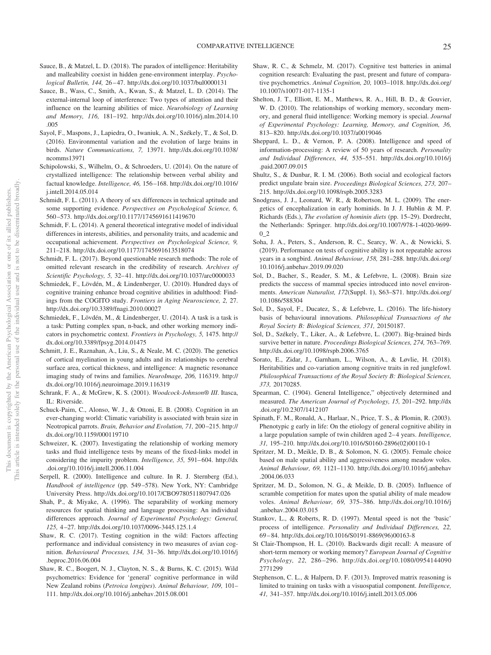- Sauce, B., & Matzel, L. D. (2018). The paradox of intelligence: Heritability and malleability coexist in hidden gene-environment interplay. *Psychological Bulletin, 144,* 26 – 47. http://dx.doi.org/10.1037/bul0000131
- Sauce, B., Wass, C., Smith, A., Kwan, S., & Matzel, L. D. (2014). The external-internal loop of interference: Two types of attention and their influence on the learning abilities of mice. *Neurobiology of Learning and Memory, 116,* 181–192. http://dx.doi.org/10.1016/j.nlm.2014.10 .005
- Sayol, F., Maspons, J., Lapiedra, O., Iwaniuk, A. N., Székely, T., & Sol, D. (2016). Environmental variation and the evolution of large brains in birds. *Nature Communications, 7,* 13971. http://dx.doi.org/10.1038/ ncomms13971
- Schipolowski, S., Wilhelm, O., & Schroeders, U. (2014). On the nature of crystallized intelligence: The relationship between verbal ability and factual knowledge. *Intelligence, 46,* 156 –168. http://dx.doi.org/10.1016/ j.intell.2014.05.014
- Schmidt, F. L. (2011). A theory of sex differences in technical aptitude and some supporting evidence. *Perspectives on Psychological Science, 6,* 560 –573. http://dx.doi.org/10.1177/1745691611419670
- Schmidt, F. L. (2014). A general theoretical integrative model of individual differences in interests, abilities, and personality traits, and academic and occupational achievement. *Perspectives on Psychological Science, 9,* 211–218. http://dx.doi.org/10.1177/1745691613518074
- Schmidt, F. L. (2017). Beyond questionable research methods: The role of omitted relevant research in the credibility of research. *Archives of Scientific Psychology, 5,* 32– 41. http://dx.doi.org/10.1037/arc0000033
- Schmiedek, F., Lövdén, M., & Lindenberger, U. (2010). Hundred days of cognitive training enhance broad cognitive abilities in adulthood: Findings from the COGITO study. *Frontiers in Aging Neuroscience, 2,* 27. http://dx.doi.org/10.3389/fnagi.2010.00027
- Schmiedek, F., Lövdén, M., & Lindenberger, U. (2014). A task is a task is a task: Putting complex span, n-back, and other working memory indicators in psychometric context. *Frontiers in Psychology, 5,* 1475. http:// dx.doi.org/10.3389/fpsyg.2014.01475
- Schmitt, J. E., Raznahan, A., Liu, S., & Neale, M. C. (2020). The genetics of cortical myelination in young adults and its relationships to cerebral surface area, cortical thickness, and intelligence: A magnetic resonance imaging study of twins and families. *NeuroImage, 206,* 116319. http:// dx.doi.org/10.1016/j.neuroimage.2019.116319
- Schrank, F. A., & McGrew, K. S. (2001). *Woodcock-Johnson® III*. Itasca, IL: Riverside.
- Schuck-Paim, C., Alonso, W. J., & Ottoni, E. B. (2008). Cognition in an ever-changing world: Climatic variability is associated with brain size in Neotropical parrots. *Brain, Behavior and Evolution, 71, 200-215.* http:// dx.doi.org/10.1159/000119710
- Schweizer, K. (2007). Investigating the relationship of working memory tasks and fluid intelligence tests by means of the fixed-links model in considering the impurity problem. *Intelligence, 35,* 591– 604. http://dx .doi.org/10.1016/j.intell.2006.11.004
- Serpell, R. (2000). Intelligence and culture. In R. J. Sternberg (Ed.), *Handbook of intelligence* (pp. 549 –578). New York, NY: Cambridge University Press. http://dx.doi.org/10.1017/CBO9780511807947.026
- Shah, P., & Miyake, A. (1996). The separability of working memory resources for spatial thinking and language processing: An individual differences approach. *Journal of Experimental Psychology: General, 125,* 4 –27. http://dx.doi.org/10.1037/0096-3445.125.1.4
- Shaw, R. C. (2017). Testing cognition in the wild: Factors affecting performance and individual consistency in two measures of avian cognition. *Behavioural Processes, 134,* 31–36. http://dx.doi.org/10.1016/j .beproc.2016.06.004
- Shaw, R. C., Boogert, N. J., Clayton, N. S., & Burns, K. C. (2015). Wild psychometrics: Evidence for 'general' cognitive performance in wild New Zealand robins (*Petroica longipes*). *Animal Behaviour, 109,* 101– 111. http://dx.doi.org/10.1016/j.anbehav.2015.08.001
- Shaw, R. C., & Schmelz, M. (2017). Cognitive test batteries in animal cognition research: Evaluating the past, present and future of comparative psychometrics. *Animal Cognition, 20,* 1003–1018. http://dx.doi.org/ 10.1007/s10071-017-1135-1
- Shelton, J. T., Elliott, E. M., Matthews, R. A., Hill, B. D., & Gouvier, W. D. (2010). The relationships of working memory, secondary memory, and general fluid intelligence: Working memory is special. *Journal of Experimental Psychology: Learning, Memory, and Cognition, 36,* 813– 820. http://dx.doi.org/10.1037/a0019046
- Sheppard, L. D., & Vernon, P. A. (2008). Intelligence and speed of information-processing: A review of 50 years of research. *Personality and Individual Differences, 44,* 535–551. http://dx.doi.org/10.1016/j .paid.2007.09.015
- Shultz, S., & Dunbar, R. I. M. (2006). Both social and ecological factors predict ungulate brain size. *Proceedings Biological Sciences, 273,* 207– 215. http://dx.doi.org/10.1098/rspb.2005.3283
- Snodgrass, J. J., Leonard, W. R., & Robertson, M. L. (2009). The energetics of encephalization in early hominids. In J. J. Hublin & M. P. Richards (Eds.), *The evolution of hominin diets* (pp. 15–29). Dordrecht, the Netherlands: Springer. http://dx.doi.org/10.1007/978-1-4020-9699- 0\_2
- Soha, J. A., Peters, S., Anderson, R. C., Searcy, W. A., & Nowicki, S. (2019). Performance on tests of cognitive ability is not repeatable across years in a songbird. *Animal Behaviour, 158,* 281–288. http://dx.doi.org/ 10.1016/j.anbehav.2019.09.020
- Sol, D., Bacher, S., Reader, S. M., & Lefebvre, L. (2008). Brain size predicts the success of mammal species introduced into novel environments. *American Naturalist, 172*(Suppl. 1), S63–S71. http://dx.doi.org/ 10.1086/588304
- Sol, D., Sayol, F., Ducatez, S., & Lefebvre, L. (2016). The life-history basis of behavioural innovations. *Philosophical Transactions of the Royal Society B: Biological Sciences, 371,* 20150187.
- Sol, D., Székely, T., Liker, A., & Lefebvre, L. (2007). Big-brained birds survive better in nature. *Proceedings Biological Sciences, 274,* 763–769. http://dx.doi.org/10.1098/rspb.2006.3765
- Sorato, E., Zidar, J., Garnham, L., Wilson, A., & Løvlie, H. (2018). Heritabilities and co-variation among cognitive traits in red junglefowl. *Philosophical Transactions of the Royal Society B: Biological Sciences, 373,* 20170285.
- Spearman, C. (1904). General Intelligence," objectively determined and measured. *The American Journal of Psychology, 15,* 201–292. http://dx .doi.org/10.2307/1412107
- Spinath, F. M., Ronald, A., Harlaar, N., Price, T. S., & Plomin, R. (2003). Phenotypic g early in life: On the etiology of general cognitive ability in a large population sample of twin children aged 2– 4 years. *Intelligence, 31,* 195–210. http://dx.doi.org/10.1016/S0160-2896(02)00110-1
- Spritzer, M. D., Meikle, D. B., & Solomon, N. G. (2005). Female choice based on male spatial ability and aggressiveness among meadow voles. *Animal Behaviour, 69,* 1121–1130. http://dx.doi.org/10.1016/j.anbehav .2004.06.033
- Spritzer, M. D., Solomon, N. G., & Meikle, D. B. (2005). Influence of scramble competition for mates upon the spatial ability of male meadow voles. *Animal Behaviour, 69,* 375–386. http://dx.doi.org/10.1016/j .anbehav.2004.03.015
- Stankov, L., & Roberts, R. D. (1997). Mental speed is not the 'basic' process of intelligence. *Personality and Individual Differences, 22,* 69 – 84. http://dx.doi.org/10.1016/S0191-8869(96)00163-8
- St Clair-Thompson, H. L. (2010). Backwards digit recall: A measure of short-term memory or working memory? *European Journal of Cognitive Psychology, 22,* 286 –296. http://dx.doi.org/10.1080/0954144090 2771299
- Stephenson, C. L., & Halpern, D. F. (2013). Improved matrix reasoning is limited to training on tasks with a visuospatial component. *Intelligence, 41,* 341–357. http://dx.doi.org/10.1016/j.intell.2013.05.006